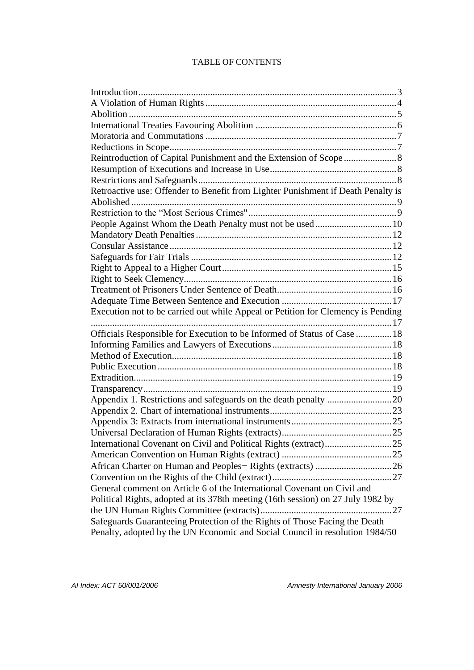| Retroactive use: Offender to Benefit from Lighter Punishment if Death Penalty is |  |
|----------------------------------------------------------------------------------|--|
|                                                                                  |  |
|                                                                                  |  |
| People Against Whom the Death Penalty must not be used 10                        |  |
|                                                                                  |  |
|                                                                                  |  |
|                                                                                  |  |
|                                                                                  |  |
|                                                                                  |  |
|                                                                                  |  |
|                                                                                  |  |
| Execution not to be carried out while Appeal or Petition for Clemency is Pending |  |
|                                                                                  |  |
| Officials Responsible for Execution to be Informed of Status of Case  18         |  |
|                                                                                  |  |
|                                                                                  |  |
|                                                                                  |  |
|                                                                                  |  |
|                                                                                  |  |
|                                                                                  |  |
|                                                                                  |  |
|                                                                                  |  |
|                                                                                  |  |
|                                                                                  |  |
|                                                                                  |  |
|                                                                                  |  |
|                                                                                  |  |
| General comment on Article 6 of the International Covenant on Civil and          |  |
| Political Rights, adopted at its 378th meeting (16th session) on 27 July 1982 by |  |
| 27                                                                               |  |
| Safeguards Guaranteeing Protection of the Rights of Those Facing the Death       |  |
| Penalty, adopted by the UN Economic and Social Council in resolution 1984/50     |  |
|                                                                                  |  |

## TABLE OF CONTENTS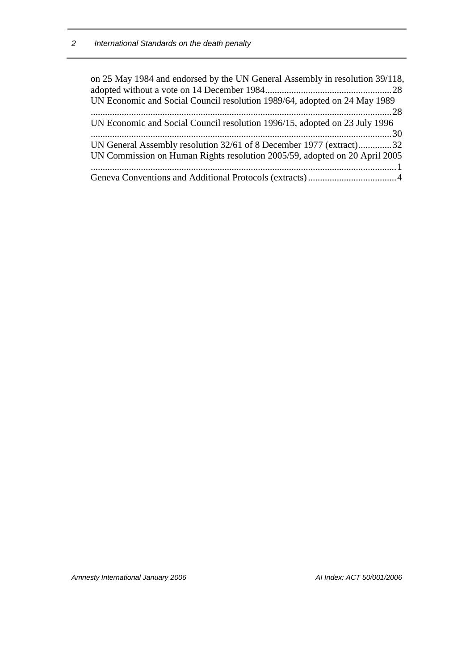| on 25 May 1984 and endorsed by the UN General Assembly in resolution 39/118,<br>UN Economic and Social Council resolution 1989/64, adopted on 24 May 1989 |
|-----------------------------------------------------------------------------------------------------------------------------------------------------------|
| UN Economic and Social Council resolution 1996/15, adopted on 23 July 1996                                                                                |
| UN General Assembly resolution 32/61 of 8 December 1977 (extract)32<br>UN Commission on Human Rights resolution 2005/59, adopted on 20 April 2005         |
|                                                                                                                                                           |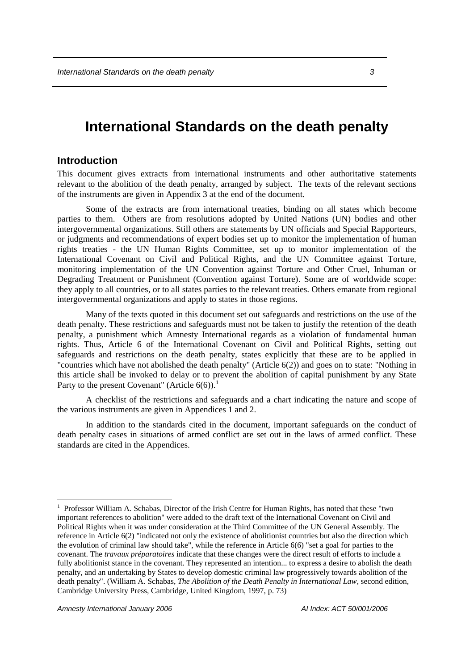### <span id="page-2-0"></span>**Introduction**

This document gives extracts from international instruments and other authoritative statements relevant to the abolition of the death penalty, arranged by subject. The texts of the relevant sections of the instruments are given in Appendix 3 at the end of the document.

Some of the extracts are from international treaties, binding on all states which become parties to them. Others are from resolutions adopted by United Nations (UN) bodies and other intergovernmental organizations. Still others are statements by UN officials and Special Rapporteurs, or judgments and recommendations of expert bodies set up to monitor the implementation of human rights treaties - the UN Human Rights Committee, set up to monitor implementation of the International Covenant on Civil and Political Rights, and the UN Committee against Torture, monitoring implementation of the UN Convention against Torture and Other Cruel, Inhuman or Degrading Treatment or Punishment (Convention against Torture). Some are of worldwide scope: they apply to all countries, or to all states parties to the relevant treaties. Others emanate from regional intergovernmental organizations and apply to states in those regions.

Many of the texts quoted in this document set out safeguards and restrictions on the use of the death penalty. These restrictions and safeguards must not be taken to justify the retention of the death penalty, a punishment which Amnesty International regards as a violation of fundamental human rights. Thus, Article 6 of the International Covenant on Civil and Political Rights, setting out safeguards and restrictions on the death penalty, states explicitly that these are to be applied in "countries which have not abolished the death penalty" (Article 6(2)) and goes on to state: "Nothing in this article shall be invoked to delay or to prevent the abolition of capital punishment by any State Party to the present Covenant" (Article  $6(6)$ ).<sup>1</sup>

A checklist of the restrictions and safeguards and a chart indicating the nature and scope of the various instruments are given in Appendices 1 and 2.

In addition to the standards cited in the document, important safeguards on the conduct of death penalty cases in situations of armed conflict are set out in the laws of armed conflict. These standards are cited in the Appendices.

<sup>&</sup>lt;sup>1</sup> Professor William A. Schabas, Director of the Irish Centre for Human Rights, has noted that these "two important references to abolition" were added to the draft text of the International Covenant on Civil and Political Rights when it was under consideration at the Third Committee of the UN General Assembly. The reference in Article 6(2) "indicated not only the existence of abolitionist countries but also the direction which the evolution of criminal law should take", while the reference in Article 6(6) "set a goal for parties to the covenant. The *travaux préparatoires* indicate that these changes were the direct result of efforts to include a fully abolitionist stance in the covenant. They represented an intention... to express a desire to abolish the death penalty, and an undertaking by States to develop domestic criminal law progressively towards abolition of the death penalty". (William A. Schabas, *The Abolition of the Death Penalty in International Law*, second edition, Cambridge University Press, Cambridge, United Kingdom, 1997, p. 73)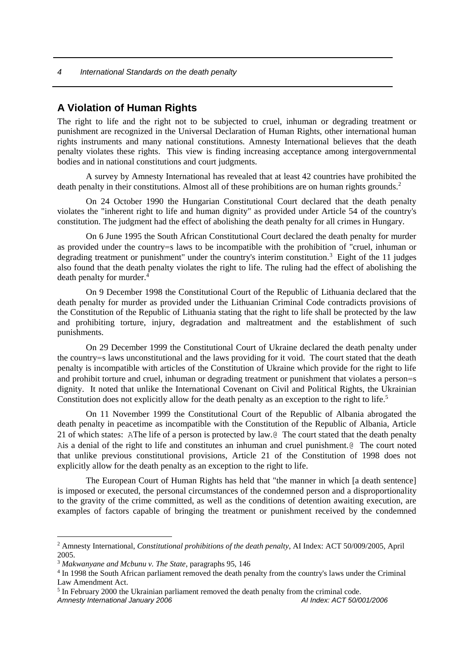## <span id="page-3-0"></span>**A Violation of Human Rights**

The right to life and the right not to be subjected to cruel, inhuman or degrading treatment or punishment are recognized in the Universal Declaration of Human Rights, other international human rights instruments and many national constitutions. Amnesty International believes that the death penalty violates these rights. This view is finding increasing acceptance among intergovernmental bodies and in national constitutions and court judgments.

A survey by Amnesty International has revealed that at least 42 countries have prohibited the death penalty in their constitutions. Almost all of these prohibitions are on human rights grounds.<sup>2</sup>

On 24 October 1990 the Hungarian Constitutional Court declared that the death penalty violates the "inherent right to life and human dignity" as provided under Article 54 of the country's constitution. The judgment had the effect of abolishing the death penalty for all crimes in Hungary.

On 6 June 1995 the South African Constitutional Court declared the death penalty for murder as provided under the country=s laws to be incompatible with the prohibition of "cruel, inhuman or degrading treatment or punishment" under the country's interim constitution.<sup>3</sup> Eight of the 11 judges also found that the death penalty violates the right to life. The ruling had the effect of abolishing the death penalty for murder.<sup>4</sup>

On 9 December 1998 the Constitutional Court of the Republic of Lithuania declared that the death penalty for murder as provided under the Lithuanian Criminal Code contradicts provisions of the Constitution of the Republic of Lithuania stating that the right to life shall be protected by the law and prohibiting torture, injury, degradation and maltreatment and the establishment of such punishments.

On 29 December 1999 the Constitutional Court of Ukraine declared the death penalty under the country=s laws unconstitutional and the laws providing for it void. The court stated that the death penalty is incompatible with articles of the Constitution of Ukraine which provide for the right to life and prohibit torture and cruel, inhuman or degrading treatment or punishment that violates a person=s dignity. It noted that unlike the International Covenant on Civil and Political Rights, the Ukrainian Constitution does not explicitly allow for the death penalty as an exception to the right to life.<sup>5</sup>

On 11 November 1999 the Constitutional Court of the Republic of Albania abrogated the death penalty in peacetime as incompatible with the Constitution of the Republic of Albania, Article 21 of which states: AThe life of a person is protected by law.@ The court stated that the death penalty Ais a denial of the right to life and constitutes an inhuman and cruel punishment.@ The court noted that unlike previous constitutional provisions, Article 21 of the Constitution of 1998 does not explicitly allow for the death penalty as an exception to the right to life.

The European Court of Human Rights has held that "the manner in which [a death sentence] is imposed or executed, the personal circumstances of the condemned person and a disproportionality to the gravity of the crime committed, as well as the conditions of detention awaiting execution, are examples of factors capable of bringing the treatment or punishment received by the condemned

<sup>2</sup> Amnesty International, *Constitutional prohibitions of the death penalty*, AI Index: ACT 50/009/2005, April 2005.

<sup>3</sup> *Makwanyane and Mcbunu v. The State*, paragraphs 95, 146

<sup>&</sup>lt;sup>4</sup> In 1998 the South African parliament removed the death penalty from the country's laws under the Criminal Law Amendment Act.

*Amnesty International January 2006 AI Index: ACT 50/001/2006* <sup>5</sup> In February 2000 the Ukrainian parliament removed the death penalty from the criminal code.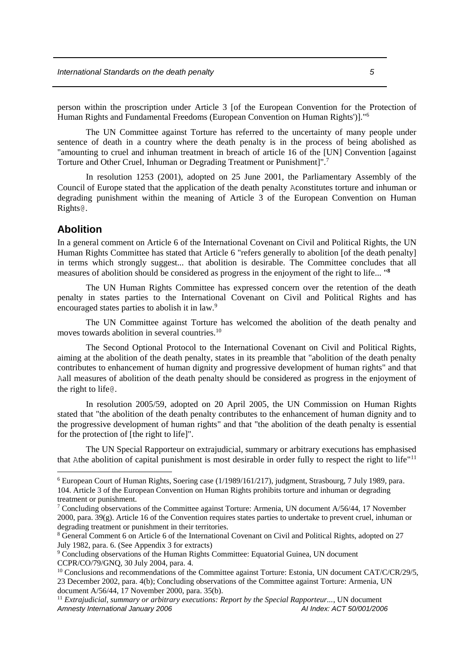person within the proscription under Article 3 [of the European Convention for the Protection of Human Rights and Fundamental Freedoms (European Convention on Human Rights')]."<sup>6</sup>

The UN Committee against Torture has referred to the uncertainty of many people under sentence of death in a country where the death penalty is in the process of being abolished as "amounting to cruel and inhuman treatment in breach of article 16 of the [UN] Convention [against Torture and Other Cruel, Inhuman or Degrading Treatment or Punishment]".<sup>7</sup>

In resolution 1253 (2001), adopted on 25 June 2001, the Parliamentary Assembly of the Council of Europe stated that the application of the death penalty Aconstitutes torture and inhuman or degrading punishment within the meaning of Article 3 of the European Convention on Human Rights@.

### <span id="page-4-0"></span>**Abolition**

1

In a general comment on Article 6 of the International Covenant on Civil and Political Rights, the UN Human Rights Committee has stated that Article 6 "refers generally to abolition [of the death penalty] in terms which strongly suggest... that abolition is desirable. The Committee concludes that all measures of abolition should be considered as progress in the enjoyment of the right to life... "**<sup>8</sup>**

The UN Human Rights Committee has expressed concern over the retention of the death penalty in states parties to the International Covenant on Civil and Political Rights and has encouraged states parties to abolish it in law.<sup>9</sup>

The UN Committee against Torture has welcomed the abolition of the death penalty and moves towards abolition in several countries.<sup>10</sup>

The Second Optional Protocol to the International Covenant on Civil and Political Rights, aiming at the abolition of the death penalty, states in its preamble that "abolition of the death penalty contributes to enhancement of human dignity and progressive development of human rights" and that Aall measures of abolition of the death penalty should be considered as progress in the enjoyment of the right to life@.

In resolution 2005/59, adopted on 20 April 2005, the UN Commission on Human Rights stated that "the abolition of the death penalty contributes to the enhancement of human dignity and to the progressive development of human rights" and that "the abolition of the death penalty is essential for the protection of [the right to life]".

The UN Special Rapporteur on extrajudicial, summary or arbitrary executions has emphasised that Athe abolition of capital punishment is most desirable in order fully to respect the right to life"<sup>11</sup>

<sup>6</sup> European Court of Human Rights, Soering case (1/1989/161/217), judgment, Strasbourg, 7 July 1989, para. 104. Article 3 of the European Convention on Human Rights prohibits torture and inhuman or degrading treatment or punishment.

<sup>7</sup> Concluding observations of the Committee against Torture: Armenia, UN document A/56/44, 17 November 2000, para. 39(g). Article 16 of the Convention requires states parties to undertake to prevent cruel, inhuman or degrading treatment or punishment in their territories.

<sup>8</sup> General Comment 6 on Article 6 of the International Covenant on Civil and Political Rights, adopted on 27 July 1982, para. 6. (See Appendix 3 for extracts)

<sup>9</sup> Concluding observations of the Human Rights Committee: Equatorial Guinea, UN document CCPR/CO/79/GNQ, 30 July 2004, para. 4.

<sup>&</sup>lt;sup>10</sup> Conclusions and recommendations of the Committee against Torture: Estonia, UN document CAT/C/CR/29/5, 23 December 2002, para. 4(b); Concluding observations of the Committee against Torture: Armenia, UN document A/56/44, 17 November 2000, para. 35(b).

*Amnesty International January 2006 AI Index: ACT 50/001/2006* <sup>11</sup> Extrajudicial, summary or arbitrary executions: Report by the Special Rapporteur..., UN document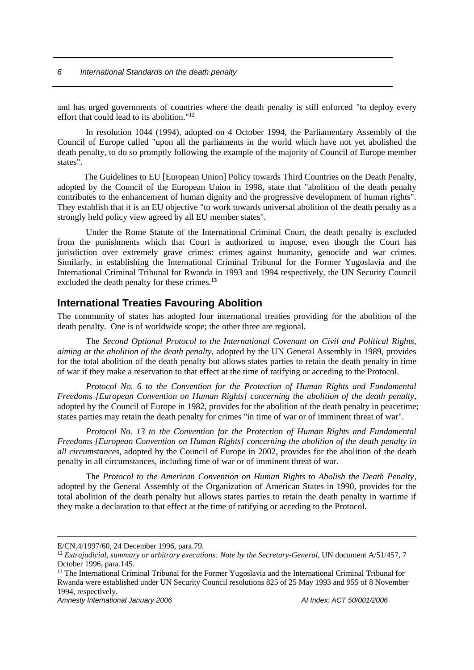and has urged governments of countries where the death penalty is still enforced "to deploy every effort that could lead to its abolition."<sup>12</sup>

In resolution 1044 (1994), adopted on 4 October 1994, the Parliamentary Assembly of the Council of Europe called "upon all the parliaments in the world which have not yet abolished the death penalty, to do so promptly following the example of the majority of Council of Europe member states".

The Guidelines to EU [European Union] Policy towards Third Countries on the Death Penalty, adopted by the Council of the European Union in 1998, state that "abolition of the death penalty contributes to the enhancement of human dignity and the progressive development of human rights". They establish that it is an EU objective "to work towards universal abolition of the death penalty as a strongly held policy view agreed by all EU member states".

Under the Rome Statute of the International Criminal Court, the death penalty is excluded from the punishments which that Court is authorized to impose, even though the Court has jurisdiction over extremely grave crimes: crimes against humanity, genocide and war crimes. Similarly, in establishing the International Criminal Tribunal for the Former Yugoslavia and the International Criminal Tribunal for Rwanda in 1993 and 1994 respectively, the UN Security Council excluded the death penalty for these crimes.**<sup>13</sup>**

## <span id="page-5-0"></span>**International Treaties Favouring Abolition**

The community of states has adopted four international treaties providing for the abolition of the death penalty. One is of worldwide scope; the other three are regional.

The *Second Optional Protocol to the International Covenant on Civil and Political Rights, aiming at the abolition of the death penalty*, adopted by the UN General Assembly in 1989, provides for the total abolition of the death penalty but allows states parties to retain the death penalty in time of war if they make a reservation to that effect at the time of ratifying or acceding to the Protocol.

*Protocol No. 6 to the Convention for the Protection of Human Rights and Fundamental Freedoms [European Convention on Human Rights] concerning the abolition of the death penalty*, adopted by the Council of Europe in 1982, provides for the abolition of the death penalty in peacetime; states parties may retain the death penalty for crimes "in time of war or of imminent threat of war".

*Protocol No. 13 to the Convention for the Protection of Human Rights and Fundamental Freedoms [European Convention on Human Rights] concerning the abolition of the death penalty in all circumstances*, adopted by the Council of Europe in 2002, provides for the abolition of the death penalty in all circumstances, including time of war or of imminent threat of war.

The *Protocol to the American Convention on Human Rights to Abolish the Death Penalty*, adopted by the General Assembly of the Organization of American States in 1990, provides for the total abolition of the death penalty but allows states parties to retain the death penalty in wartime if they make a declaration to that effect at the time of ratifying or acceding to the Protocol.

*Amnesty International January 2006 AI Index: ACT 50/001/2006*

E/CN.4/1997/60, 24 December 1996, para.79.

<sup>&</sup>lt;sup>12</sup> *Extrajudicial, summary or arbitrary executions: Note by the Secretary-General, UN document A/51/457, 7* October 1996, para.145.

<sup>&</sup>lt;sup>13</sup> The International Criminal Tribunal for the Former Yugoslavia and the International Criminal Tribunal for Rwanda were established under UN Security Council resolutions 825 of 25 May 1993 and 955 of 8 November 1994, respectively.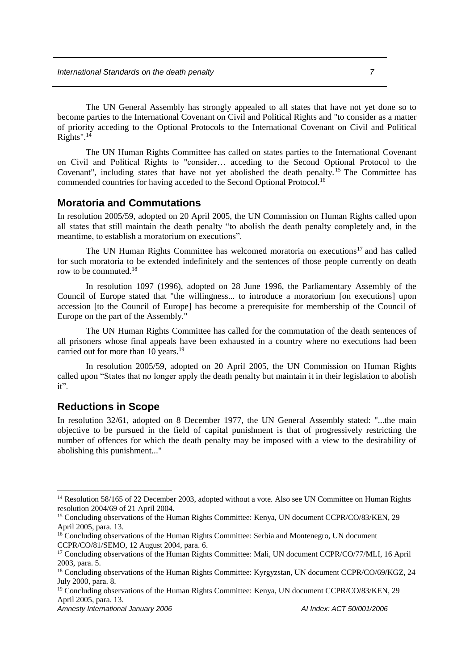The UN General Assembly has strongly appealed to all states that have not yet done so to become parties to the International Covenant on Civil and Political Rights and "to consider as a matter of priority acceding to the Optional Protocols to the International Covenant on Civil and Political Rights".<sup>14</sup>

The UN Human Rights Committee has called on states parties to the International Covenant on Civil and Political Rights to "consider… acceding to the Second Optional Protocol to the Covenant", including states that have not yet abolished the death penalty. <sup>15</sup> The Committee has commended countries for having acceded to the Second Optional Protocol.<sup>16</sup>

### <span id="page-6-0"></span>**Moratoria and Commutations**

In resolution 2005/59, adopted on 20 April 2005, the UN Commission on Human Rights called upon all states that still maintain the death penalty "to abolish the death penalty completely and, in the meantime, to establish a moratorium on executions".

The UN Human Rights Committee has welcomed moratoria on executions<sup>17</sup> and has called for such moratoria to be extended indefinitely and the sentences of those people currently on death row to be commuted.<sup>18</sup>

In resolution 1097 (1996), adopted on 28 June 1996, the Parliamentary Assembly of the Council of Europe stated that "the willingness... to introduce a moratorium [on executions] upon accession [to the Council of Europe] has become a prerequisite for membership of the Council of Europe on the part of the Assembly."

The UN Human Rights Committee has called for the commutation of the death sentences of all prisoners whose final appeals have been exhausted in a country where no executions had been carried out for more than 10 years.<sup>19</sup>

In resolution 2005/59, adopted on 20 April 2005, the UN Commission on Human Rights called upon "States that no longer apply the death penalty but maintain it in their legislation to abolish it".

### <span id="page-6-1"></span>**Reductions in Scope**

<u>.</u>

In resolution 32/61, adopted on 8 December 1977, the UN General Assembly stated: "...the main objective to be pursued in the field of capital punishment is that of progressively restricting the number of offences for which the death penalty may be imposed with a view to the desirability of abolishing this punishment..."

<sup>&</sup>lt;sup>14</sup> Resolution 58/165 of 22 December 2003, adopted without a vote. Also see UN Committee on Human Rights resolution 2004/69 of 21 April 2004.

<sup>&</sup>lt;sup>15</sup> Concluding observations of the Human Rights Committee: Kenya, UN document CCPR/CO/83/KEN, 29 April 2005, para. 13.

<sup>&</sup>lt;sup>16</sup> Concluding observations of the Human Rights Committee: Serbia and Montenegro, UN document CCPR/CO/81/SEMO, 12 August 2004, para. 6.

<sup>&</sup>lt;sup>17</sup> Concluding observations of the Human Rights Committee: Mali, UN document CCPR/CO/77/MLI, 16 April 2003, para. 5.

<sup>&</sup>lt;sup>18</sup> Concluding observations of the Human Rights Committee: Kyrgyzstan, UN document CCPR/CO/69/KGZ, 24 July 2000, para. 8.

<sup>&</sup>lt;sup>19</sup> Concluding observations of the Human Rights Committee: Kenya, UN document CCPR/CO/83/KEN, 29 April 2005, para. 13.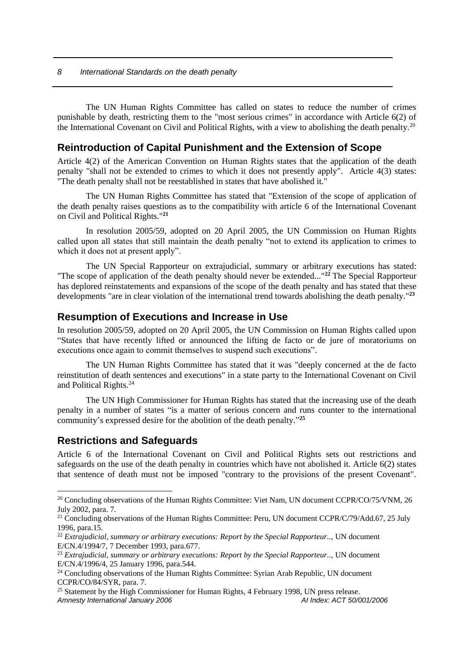The UN Human Rights Committee has called on states to reduce the number of crimes punishable by death, restricting them to the "most serious crimes" in accordance with Article 6(2) of the International Covenant on Civil and Political Rights, with a view to abolishing the death penalty.<sup>20</sup>

## <span id="page-7-0"></span>**Reintroduction of Capital Punishment and the Extension of Scope**

Article 4(2) of the American Convention on Human Rights states that the application of the death penalty "shall not be extended to crimes to which it does not presently apply". Article 4(3) states: "The death penalty shall not be reestablished in states that have abolished it."

The UN Human Rights Committee has stated that "Extension of the scope of application of the death penalty raises questions as to the compatibility with article 6 of the International Covenant on Civil and Political Rights."**<sup>21</sup>**

In resolution 2005/59, adopted on 20 April 2005, the UN Commission on Human Rights called upon all states that still maintain the death penalty "not to extend its application to crimes to which it does not at present apply".

The UN Special Rapporteur on extrajudicial, summary or arbitrary executions has stated: "The scope of application of the death penalty should never be extended..."**<sup>22</sup>** The Special Rapporteur has deplored reinstatements and expansions of the scope of the death penalty and has stated that these developments "are in clear violation of the international trend towards abolishing the death penalty."**<sup>23</sup>**

### <span id="page-7-1"></span>**Resumption of Executions and Increase in Use**

In resolution 2005/59, adopted on 20 April 2005, the UN Commission on Human Rights called upon "States that have recently lifted or announced the lifting de facto or de jure of moratoriums on executions once again to commit themselves to suspend such executions".

The UN Human Rights Committee has stated that it was "deeply concerned at the de facto reinstitution of death sentences and executions" in a state party to the International Covenant on Civil and Political Rights.<sup>24</sup>

The UN High Commissioner for Human Rights has stated that the increasing use of the death penalty in a number of states "is a matter of serious concern and runs counter to the international community's expressed desire for the abolition of the death penalty." **25**

### <span id="page-7-2"></span>**Restrictions and Safeguards**

1

Article 6 of the International Covenant on Civil and Political Rights sets out restrictions and safeguards on the use of the death penalty in countries which have not abolished it. Article 6(2) states that sentence of death must not be imposed "contrary to the provisions of the present Covenant".

<sup>&</sup>lt;sup>20</sup> Concluding observations of the Human Rights Committee: Viet Nam, UN document CCPR/CO/75/VNM, 26 July 2002, para. 7.

<sup>&</sup>lt;sup>21</sup> Concluding observations of the Human Rights Committee: Peru, UN document CCPR/C/79/Add.67, 25 July 1996, para.15.

<sup>22</sup> *Extrajudicial, summary or arbitrary executions: Report by the Special Rapporteur..*, UN document E/CN.4/1994/7, 7 December 1993, para.677.

<sup>23</sup> *Extrajudicial, summary or arbitrary executions: Report by the Special Rapporteur..*, UN document E/CN.4/1996/4, 25 January 1996, para.544.

<sup>&</sup>lt;sup>24</sup> Concluding observations of the Human Rights Committee: Syrian Arab Republic, UN document CCPR/CO/84/SYR, para. 7.

*Amnesty International January 2006 AI Index: ACT 50/001/2006* <sup>25</sup> Statement by the High Commissioner for Human Rights, 4 February 1998, UN press release.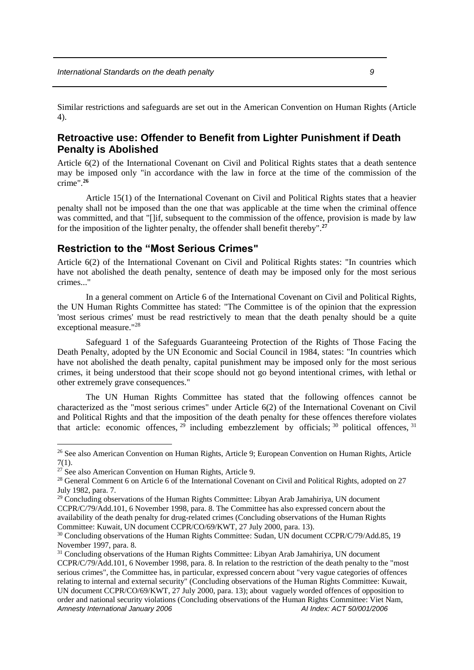Similar restrictions and safeguards are set out in the American Convention on Human Rights (Article 4).

### <span id="page-8-0"></span>**Retroactive use: Offender to Benefit from Lighter Punishment if Death Penalty is Abolished**

Article 6(2) of the International Covenant on Civil and Political Rights states that a death sentence may be imposed only "in accordance with the law in force at the time of the commission of the crime".**<sup>26</sup>**

Article 15(1) of the International Covenant on Civil and Political Rights states that a heavier penalty shall not be imposed than the one that was applicable at the time when the criminal offence was committed, and that "[]if, subsequent to the commission of the offence, provision is made by law for the imposition of the lighter penalty, the offender shall benefit thereby". **27**

### <span id="page-8-1"></span>**Restriction to the "Most Serious Crimes"**

Article 6(2) of the International Covenant on Civil and Political Rights states: "In countries which have not abolished the death penalty, sentence of death may be imposed only for the most serious crimes..."

In a general comment on Article 6 of the International Covenant on Civil and Political Rights, the UN Human Rights Committee has stated: "The Committee is of the opinion that the expression 'most serious crimes' must be read restrictively to mean that the death penalty should be a quite exceptional measure."<sup>28</sup>

Safeguard 1 of the Safeguards Guaranteeing Protection of the Rights of Those Facing the Death Penalty, adopted by the UN Economic and Social Council in 1984, states: "In countries which have not abolished the death penalty, capital punishment may be imposed only for the most serious crimes, it being understood that their scope should not go beyond intentional crimes, with lethal or other extremely grave consequences."

The UN Human Rights Committee has stated that the following offences cannot be characterized as the "most serious crimes" under Article 6(2) of the International Covenant on Civil and Political Rights and that the imposition of the death penalty for these offences therefore violates that article: economic offences,  $29$  including embezzlement by officials;  $30$  political offences,  $31$ 

<sup>26</sup> See also American Convention on Human Rights, Article 9; European Convention on Human Rights, Article 7(1).

 $27$  See also American Convention on Human Rights, Article 9.

<sup>&</sup>lt;sup>28</sup> General Comment 6 on Article 6 of the International Covenant on Civil and Political Rights, adopted on 27 July 1982, para. 7.

 $29$  Concluding observations of the Human Rights Committee: Libyan Arab Jamahiriya, UN document CCPR/C/79/Add.101, 6 November 1998, para. 8. The Committee has also expressed concern about the availability of the death penalty for drug-related crimes (Concluding observations of the Human Rights Committee: Kuwait, UN document CCPR/CO/69/KWT, 27 July 2000, para. 13).

<sup>&</sup>lt;sup>30</sup> Concluding observations of the Human Rights Committee: Sudan, UN document CCPR/C/79/Add.85, 19 November 1997, para. 8.

*Amnesty International January 2006 AI Index: ACT 50/001/2006* <sup>31</sup> Concluding observations of the Human Rights Committee: Libyan Arab Jamahiriya, UN document CCPR/C/79/Add.101, 6 November 1998, para. 8. In relation to the restriction of the death penalty to the "most serious crimes", the Committee has, in particular, expressed concern about "very vague categories of offences relating to internal and external security" (Concluding observations of the Human Rights Committee: Kuwait, UN document CCPR/CO/69/KWT, 27 July 2000, para. 13); about vaguely worded offences of opposition to order and national security violations (Concluding observations of the Human Rights Committee: Viet Nam,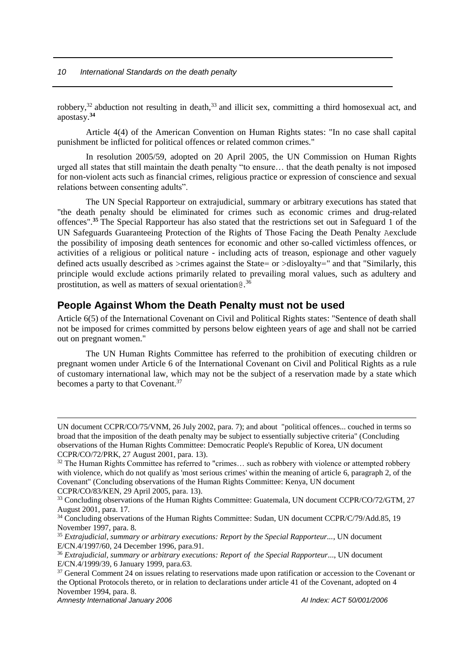robbery,<sup>32</sup> abduction not resulting in death,<sup>33</sup> and illicit sex, committing a third homosexual act, and apostasy. **34**

Article 4(4) of the American Convention on Human Rights states: "In no case shall capital punishment be inflicted for political offences or related common crimes."

In resolution 2005/59, adopted on 20 April 2005, the UN Commission on Human Rights urged all states that still maintain the death penalty "to ensure… that the death penalty is not imposed for non-violent acts such as financial crimes, religious practice or expression of conscience and sexual relations between consenting adults".

The UN Special Rapporteur on extrajudicial, summary or arbitrary executions has stated that "the death penalty should be eliminated for crimes such as economic crimes and drug-related offences". **<sup>35</sup>** The Special Rapporteur has also stated that the restrictions set out in Safeguard 1 of the UN Safeguards Guaranteeing Protection of the Rights of Those Facing the Death Penalty Aexclude the possibility of imposing death sentences for economic and other so-called victimless offences, or activities of a religious or political nature - including acts of treason, espionage and other vaguely defined acts usually described as >crimes against the State= or >disloyalty=" and that "Similarly, this principle would exclude actions primarily related to prevailing moral values, such as adultery and prostitution, as well as matters of sexual orientation@.<sup>36</sup>

### <span id="page-9-0"></span>**People Against Whom the Death Penalty must not be used**

Article 6(5) of the International Covenant on Civil and Political Rights states: "Sentence of death shall not be imposed for crimes committed by persons below eighteen years of age and shall not be carried out on pregnant women."

The UN Human Rights Committee has referred to the prohibition of executing children or pregnant women under Article 6 of the International Covenant on Civil and Political Rights as a rule of customary international law, which may not be the subject of a reservation made by a state which becomes a party to that Covenant.<sup>37</sup>

*Amnesty International January 2006 AI Index: ACT 50/001/2006*

UN document CCPR/CO/75/VNM, 26 July 2002, para. 7); and about "political offences... couched in terms so broad that the imposition of the death penalty may be subject to essentially subjective criteria" (Concluding observations of the Human Rights Committee: Democratic People's Republic of Korea, UN document CCPR/CO/72/PRK, 27 August 2001, para. 13).

<sup>&</sup>lt;sup>32</sup> The Human Rights Committee has referred to "crimes... such as robbery with violence or attempted robbery with violence, which do not qualify as 'most serious crimes' within the meaning of article 6, paragraph 2, of the Covenant" (Concluding observations of the Human Rights Committee: Kenya, UN document CCPR/CO/83/KEN, 29 April 2005, para. 13).

<sup>&</sup>lt;sup>33</sup> Concluding observations of the Human Rights Committee: Guatemala, UN document CCPR/CO/72/GTM, 27 August 2001, para. 17.

<sup>&</sup>lt;sup>34</sup> Concluding observations of the Human Rights Committee: Sudan, UN document CCPR/C/79/Add.85, 19 November 1997, para. 8.

<sup>35</sup> *Extrajudicial, summary or arbitrary executions: Report by the Special Rapporteur...*, UN document E/CN.4/1997/60, 24 December 1996, para.91.

<sup>36</sup> *Extrajudicial, summary or arbitrary executions: Report of the Special Rapporteur*..., UN document E/CN.4/1999/39, 6 January 1999, para.63.

<sup>&</sup>lt;sup>37</sup> General Comment 24 on issues relating to reservations made upon ratification or accession to the Covenant or the Optional Protocols thereto, or in relation to declarations under article 41 of the Covenant, adopted on 4 November 1994, para. 8.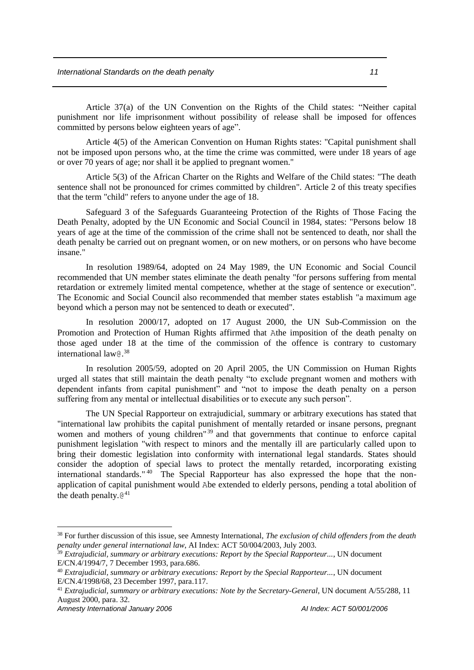Article 37(a) of the UN Convention on the Rights of the Child states: "Neither capital punishment nor life imprisonment without possibility of release shall be imposed for offences committed by persons below eighteen years of age".

Article 4(5) of the American Convention on Human Rights states: "Capital punishment shall not be imposed upon persons who, at the time the crime was committed, were under 18 years of age or over 70 years of age; nor shall it be applied to pregnant women."

Article 5(3) of the African Charter on the Rights and Welfare of the Child states: "The death sentence shall not be pronounced for crimes committed by children". Article 2 of this treaty specifies that the term "child" refers to anyone under the age of 18.

Safeguard 3 of the Safeguards Guaranteeing Protection of the Rights of Those Facing the Death Penalty, adopted by the UN Economic and Social Council in 1984, states: "Persons below 18 years of age at the time of the commission of the crime shall not be sentenced to death, nor shall the death penalty be carried out on pregnant women, or on new mothers, or on persons who have become insane."

In resolution 1989/64, adopted on 24 May 1989, the UN Economic and Social Council recommended that UN member states eliminate the death penalty "for persons suffering from mental retardation or extremely limited mental competence, whether at the stage of sentence or execution". The Economic and Social Council also recommended that member states establish "a maximum age beyond which a person may not be sentenced to death or executed".

In resolution 2000/17, adopted on 17 August 2000, the UN Sub-Commission on the Promotion and Protection of Human Rights affirmed that Athe imposition of the death penalty on those aged under 18 at the time of the commission of the offence is contrary to customary international law@. 38

In resolution 2005/59, adopted on 20 April 2005, the UN Commission on Human Rights urged all states that still maintain the death penalty "to exclude pregnant women and mothers with dependent infants from capital punishment" and "not to impose the death penalty on a person suffering from any mental or intellectual disabilities or to execute any such person".

The UN Special Rapporteur on extrajudicial, summary or arbitrary executions has stated that "international law prohibits the capital punishment of mentally retarded or insane persons, pregnant women and mothers of young children"<sup>39</sup> and that governments that continue to enforce capital punishment legislation "with respect to minors and the mentally ill are particularly called upon to bring their domestic legislation into conformity with international legal standards. States should consider the adoption of special laws to protect the mentally retarded, incorporating existing international standards."<sup>40</sup> The Special Rapporteur has also expressed the hope that the nonapplication of capital punishment would Abe extended to elderly persons, pending a total abolition of the death penalty. $\mathcal{Q}^{41}$ 

<sup>38</sup> For further discussion of this issue, see Amnesty International, *The exclusion of child offenders from the death penalty under general international law*, AI Index: ACT 50/004/2003, July 2003.

<sup>39</sup> *Extrajudicial, summary or arbitrary executions: Report by the Special Rapporteur...*, UN document E/CN.4/1994/7, 7 December 1993, para.686.

<sup>40</sup> *Extrajudicial, summary or arbitrary executions: Report by the Special Rapporteur...*, UN document E/CN.4/1998/68, 23 December 1997, para.117.

<sup>&</sup>lt;sup>41</sup> Extrajudicial, summary or arbitrary executions: Note by the Secretary-General, UN document A/55/288, 11 August 2000, para. 32.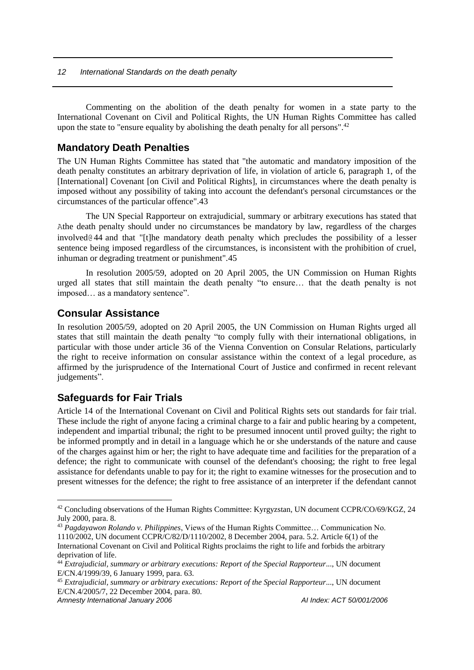Commenting on the abolition of the death penalty for women in a state party to the International Covenant on Civil and Political Rights, the UN Human Rights Committee has called upon the state to "ensure equality by abolishing the death penalty for all persons".<sup>42</sup>

## <span id="page-11-0"></span>**Mandatory Death Penalties**

The UN Human Rights Committee has stated that "the automatic and mandatory imposition of the death penalty constitutes an arbitrary deprivation of life, in violation of article 6, paragraph 1, of the [International] Covenant [on Civil and Political Rights], in circumstances where the death penalty is imposed without any possibility of taking into account the defendant's personal circumstances or the circumstances of the particular offence".43

The UN Special Rapporteur on extrajudicial, summary or arbitrary executions has stated that Athe death penalty should under no circumstances be mandatory by law, regardless of the charges involved@44 and that "[t]he mandatory death penalty which precludes the possibility of a lesser sentence being imposed regardless of the circumstances, is inconsistent with the prohibition of cruel, inhuman or degrading treatment or punishment".45

In resolution 2005/59, adopted on 20 April 2005, the UN Commission on Human Rights urged all states that still maintain the death penalty "to ensure… that the death penalty is not imposed… as a mandatory sentence".

### <span id="page-11-1"></span>**Consular Assistance**

In resolution 2005/59, adopted on 20 April 2005, the UN Commission on Human Rights urged all states that still maintain the death penalty "to comply fully with their international obligations, in particular with those under article 36 of the Vienna Convention on Consular Relations, particularly the right to receive information on consular assistance within the context of a legal procedure, as affirmed by the jurisprudence of the International Court of Justice and confirmed in recent relevant judgements".

## <span id="page-11-2"></span>**Safeguards for Fair Trials**

Article 14 of the International Covenant on Civil and Political Rights sets out standards for fair trial. These include the right of anyone facing a criminal charge to a fair and public hearing by a competent, independent and impartial tribunal; the right to be presumed innocent until proved guilty; the right to be informed promptly and in detail in a language which he or she understands of the nature and cause of the charges against him or her; the right to have adequate time and facilities for the preparation of a defence; the right to communicate with counsel of the defendant's choosing; the right to free legal assistance for defendants unable to pay for it; the right to examine witnesses for the prosecution and to present witnesses for the defence; the right to free assistance of an interpreter if the defendant cannot

<sup>42</sup> Concluding observations of the Human Rights Committee: Kyrgyzstan, UN document CCPR/CO/69/KGZ, 24 July 2000, para. 8.

<sup>43</sup> *Pagdayawon Rolando v. Philippines*, Views of the Human Rights Committee… Communication No. 1110/2002, UN document CCPR/C/82/D/1110/2002, 8 December 2004, para. 5.2. Article 6(1) of the International Covenant on Civil and Political Rights proclaims the right to life and forbids the arbitrary deprivation of life.

<sup>44</sup> *Extrajudicial, summary or arbitrary executions: Report of the Special Rapporteur*..., UN document E/CN.4/1999/39, 6 January 1999, para. 63.

<sup>45</sup> *Extrajudicial, summary or arbitrary executions: Report of the Special Rapporteur*..., UN document E/CN.4/2005/7, 22 December 2004, para. 80.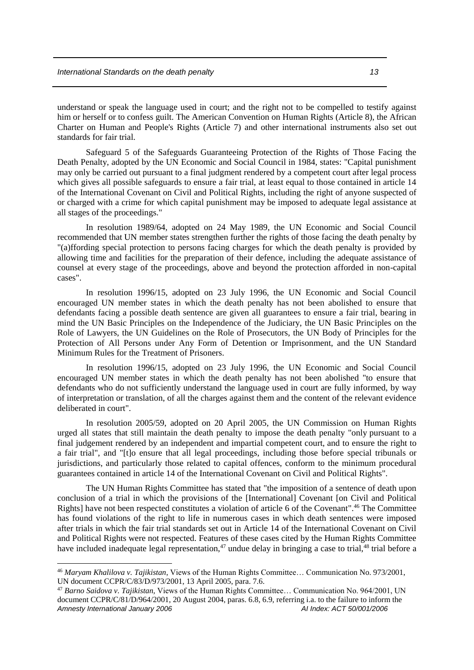1

understand or speak the language used in court; and the right not to be compelled to testify against him or herself or to confess guilt. The American Convention on Human Rights (Article 8), the African Charter on Human and People's Rights (Article 7) and other international instruments also set out standards for fair trial.

Safeguard 5 of the Safeguards Guaranteeing Protection of the Rights of Those Facing the Death Penalty, adopted by the UN Economic and Social Council in 1984, states: "Capital punishment may only be carried out pursuant to a final judgment rendered by a competent court after legal process which gives all possible safeguards to ensure a fair trial, at least equal to those contained in article 14 of the International Covenant on Civil and Political Rights, including the right of anyone suspected of or charged with a crime for which capital punishment may be imposed to adequate legal assistance at all stages of the proceedings."

In resolution 1989/64, adopted on 24 May 1989, the UN Economic and Social Council recommended that UN member states strengthen further the rights of those facing the death penalty by "(a)ffording special protection to persons facing charges for which the death penalty is provided by allowing time and facilities for the preparation of their defence, including the adequate assistance of counsel at every stage of the proceedings, above and beyond the protection afforded in non-capital cases".

In resolution 1996/15, adopted on 23 July 1996, the UN Economic and Social Council encouraged UN member states in which the death penalty has not been abolished to ensure that defendants facing a possible death sentence are given all guarantees to ensure a fair trial, bearing in mind the UN Basic Principles on the Independence of the Judiciary, the UN Basic Principles on the Role of Lawyers, the UN Guidelines on the Role of Prosecutors, the UN Body of Principles for the Protection of All Persons under Any Form of Detention or Imprisonment, and the UN Standard Minimum Rules for the Treatment of Prisoners.

In resolution 1996/15, adopted on 23 July 1996, the UN Economic and Social Council encouraged UN member states in which the death penalty has not been abolished "to ensure that defendants who do not sufficiently understand the language used in court are fully informed, by way of interpretation or translation, of all the charges against them and the content of the relevant evidence deliberated in court".

In resolution 2005/59, adopted on 20 April 2005, the UN Commission on Human Rights urged all states that still maintain the death penalty to impose the death penalty "only pursuant to a final judgement rendered by an independent and impartial competent court, and to ensure the right to a fair trial", and "[t]o ensure that all legal proceedings, including those before special tribunals or jurisdictions, and particularly those related to capital offences, conform to the minimum procedural guarantees contained in article 14 of the International Covenant on Civil and Political Rights".

The UN Human Rights Committee has stated that "the imposition of a sentence of death upon conclusion of a trial in which the provisions of the [International] Covenant [on Civil and Political Rights] have not been respected constitutes a violation of article 6 of the Covenant".<sup>46</sup> The Committee has found violations of the right to life in numerous cases in which death sentences were imposed after trials in which the fair trial standards set out in Article 14 of the International Covenant on Civil and Political Rights were not respected. Features of these cases cited by the Human Rights Committee have included inadequate legal representation,<sup>47</sup> undue delay in bringing a case to trial,<sup>48</sup> trial before a

<sup>46</sup> *Maryam Khalilova v. Tajikistan*, Views of the Human Rights Committee… Communication No. 973/2001, UN document CCPR/C/83/D/973/2001, 13 April 2005, para. 7.6.

*Amnesty International January 2006 AI Index: ACT 50/001/2006* <sup>47</sup> *Barno Saidova v. Tajikistan,* Views of the Human Rights Committee… Communication No. 964/2001, UN document CCPR/C/81/D/964/2001, 20 August 2004, paras. 6.8, 6.9, referring i.a. to the failure to inform the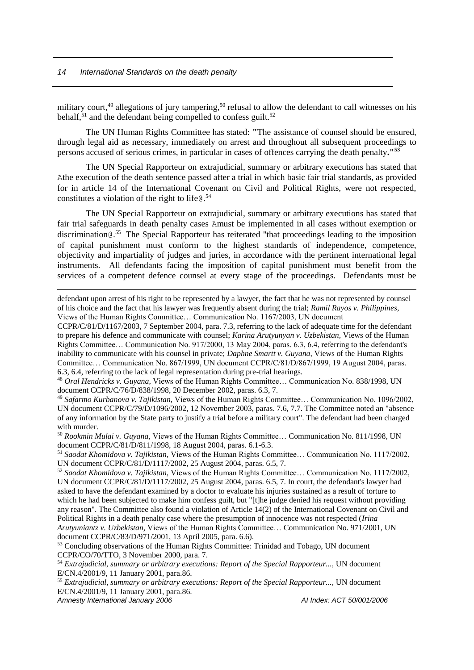military court,<sup>49</sup> allegations of jury tampering,<sup>50</sup> refusal to allow the defendant to call witnesses on his behalf, $51$  and the defendant being compelled to confess guilt.<sup>52</sup>

The UN Human Rights Committee has stated: **"**The assistance of counsel should be ensured, through legal aid as necessary, immediately on arrest and throughout all subsequent proceedings to persons accused of serious crimes, in particular in cases of offences carrying the death penalty**." 53**

The UN Special Rapporteur on extrajudicial, summary or arbitrary executions has stated that Athe execution of the death sentence passed after a trial in which basic fair trial standards, as provided for in article 14 of the International Covenant on Civil and Political Rights, were not respected, constitutes a violation of the right to life@. 54

The UN Special Rapporteur on extrajudicial, summary or arbitrary executions has stated that fair trial safeguards in death penalty cases Amust be implemented in all cases without exemption or discrimination@.<sup>55</sup> The Special Rapporteur has reiterated "that proceedings leading to the imposition of capital punishment must conform to the highest standards of independence, competence, objectivity and impartiality of judges and juries, in accordance with the pertinent international legal instruments. All defendants facing the imposition of capital punishment must benefit from the services of a competent defence counsel at every stage of the proceedings. Defendants must be

CCPR/C/81/D/1167/2003, 7 September 2004, para. 7.3, referring to the lack of adequate time for the defendant to prepare his defence and communicate with counsel; *Karina Arutyunyan v. Uzbekistan,* Views of the Human Rights Committee… Communication No. 917/2000, 13 May 2004, paras. 6.3, 6.4, referring to the defendant's inability to communicate with his counsel in private; *Daphne Smartt v. Guyana,* Views of the Human Rights Committee… Communication No. 867/1999, UN document CCPR/C/81/D/867/1999, 19 August 2004, paras. 6.3, 6.4, referring to the lack of legal representation during pre-trial hearings.

<sup>48</sup> *Oral Hendricks v. Guyana,* Views of the Human Rights Committee… Communication No. 838/1998, UN document CCPR/C/76/D/838/1998, 20 December 2002, paras. 6.3, 7.

<sup>49</sup> *Safarmo Kurbanova v. Tajikistan,* Views of the Human Rights Committee… Communication No. 1096/2002, UN document CCPR/C/79/D/1096/2002, 12 November 2003, paras. 7.6, 7.7. The Committee noted an "absence of any information by the State party to justify a trial before a military court". The defendant had been charged with murder.

<sup>50</sup> *Rookmin Mulai v. Guyana,* Views of the Human Rights Committee… Communication No. 811/1998, UN document CCPR/C/81/D/811/1998, 18 August 2004, paras. 6.1-6.3.

<sup>51</sup> *Saodat Khomidova v. Tajikistan,* Views of the Human Rights Committee… Communication No. 1117/2002, UN document CCPR/C/81/D/1117/2002, 25 August 2004, paras. 6.5, 7.

<sup>52</sup> *Saodat Khomidova v. Tajikistan,* Views of the Human Rights Committee… Communication No. 1117/2002, UN document CCPR/C/81/D/1117/2002, 25 August 2004, paras. 6.5, 7. In court, the defendant's lawyer had asked to have the defendant examined by a doctor to evaluate his injuries sustained as a result of torture to which he had been subjected to make him confess guilt, but "[t]he judge denied his request without providing any reason". The Committee also found a violation of Article 14(2) of the International Covenant on Civil and Political Rights in a death penalty case where the presumption of innocence was not respected (*Irina Arutyuniantz v. Uzbekistan,* Views of the Human Rights Committee… Communication No. 971/2001, UN document CCPR/C/83/D/971/2001, 13 April 2005, para. 6.6).

*Amnesty International January 2006 AI Index: ACT 50/001/2006*

defendant upon arrest of his right to be represented by a lawyer, the fact that he was not represented by counsel of his choice and the fact that his lawyer was frequently absent during the trial; *Ramil Rayos v. Philippines*, Views of the Human Rights Committee… Communication No. 1167/2003, UN document

<sup>53</sup> Concluding observations of the Human Rights Committee: Trinidad and Tobago, UN document CCPR/CO/70/TTO, 3 November 2000, para. 7.

<sup>54</sup> *Extrajudicial, summary or arbitrary executions: Report of the Special Rapporteur...,* UN document E/CN.4/2001/9, 11 January 2001, para.86.

<sup>55</sup> *Extrajudicial, summary or arbitrary executions: Report of the Special Rapporteur...,* UN document E/CN.4/2001/9, 11 January 2001, para.86.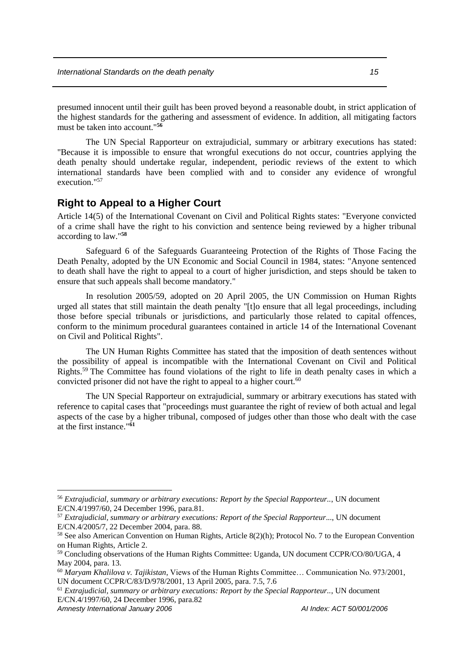presumed innocent until their guilt has been proved beyond a reasonable doubt, in strict application of the highest standards for the gathering and assessment of evidence. In addition, all mitigating factors must be taken into account."**<sup>56</sup>**

The UN Special Rapporteur on extrajudicial, summary or arbitrary executions has stated: "Because it is impossible to ensure that wrongful executions do not occur, countries applying the death penalty should undertake regular, independent, periodic reviews of the extent to which international standards have been complied with and to consider any evidence of wrongful execution." 57

## <span id="page-14-0"></span>**Right to Appeal to a Higher Court**

Article 14(5) of the International Covenant on Civil and Political Rights states: "Everyone convicted of a crime shall have the right to his conviction and sentence being reviewed by a higher tribunal according to law."**<sup>58</sup>**

Safeguard 6 of the Safeguards Guaranteeing Protection of the Rights of Those Facing the Death Penalty, adopted by the UN Economic and Social Council in 1984, states: "Anyone sentenced to death shall have the right to appeal to a court of higher jurisdiction, and steps should be taken to ensure that such appeals shall become mandatory."

In resolution 2005/59, adopted on 20 April 2005, the UN Commission on Human Rights urged all states that still maintain the death penalty "[t]o ensure that all legal proceedings, including those before special tribunals or jurisdictions, and particularly those related to capital offences, conform to the minimum procedural guarantees contained in article 14 of the International Covenant on Civil and Political Rights".

The UN Human Rights Committee has stated that the imposition of death sentences without the possibility of appeal is incompatible with the International Covenant on Civil and Political Rights.<sup>59</sup> The Committee has found violations of the right to life in death penalty cases in which a convicted prisoner did not have the right to appeal to a higher court.<sup>60</sup>

The UN Special Rapporteur on extrajudicial, summary or arbitrary executions has stated with reference to capital cases that "proceedings must guarantee the right of review of both actual and legal aspects of the case by a higher tribunal, composed of judges other than those who dealt with the case at the first instance."**<sup>61</sup>**

<u>.</u>

<sup>56</sup> *Extrajudicial, summary or arbitrary executions: Report by the Special Rapporteur..*, UN document E/CN.4/1997/60, 24 December 1996, para.81.

<sup>57</sup> *Extrajudicial, summary or arbitrary executions: Report of the Special Rapporteur*..., UN document E/CN.4/2005/7, 22 December 2004, para. 88.

<sup>58</sup> See also American Convention on Human Rights, Article 8(2)(h); Protocol No. 7 to the European Convention on Human Rights, Article 2.

<sup>59</sup> Concluding observations of the Human Rights Committee: Uganda, UN document CCPR/CO/80/UGA, 4 May 2004, para. 13.

<sup>60</sup> *Maryam Khalilova v. Tajikistan*, Views of the Human Rights Committee… Communication No. 973/2001, UN document CCPR/C/83/D/978/2001, 13 April 2005, para. 7.5, 7.6

*Amnesty International January 2006 AI Index: ACT 50/001/2006* <sup>61</sup> *Extrajudicial, summary or arbitrary executions: Report by the Special Rapporteur..*, UN document E/CN.4/1997/60, 24 December 1996, para.82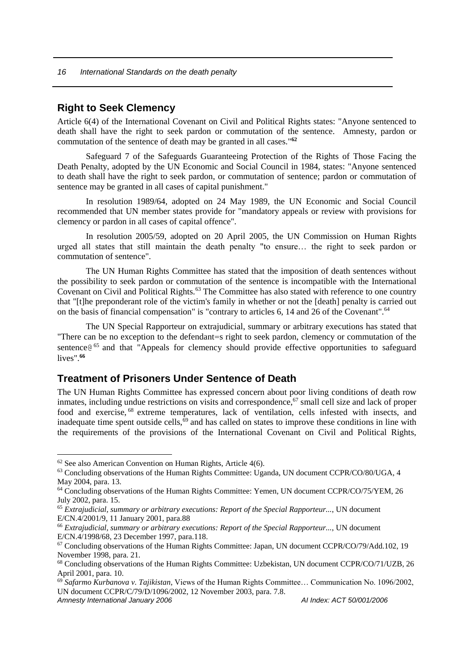### <span id="page-15-0"></span>**Right to Seek Clemency**

Article 6(4) of the International Covenant on Civil and Political Rights states: "Anyone sentenced to death shall have the right to seek pardon or commutation of the sentence. Amnesty, pardon or commutation of the sentence of death may be granted in all cases."**<sup>62</sup>**

Safeguard 7 of the Safeguards Guaranteeing Protection of the Rights of Those Facing the Death Penalty, adopted by the UN Economic and Social Council in 1984, states: "Anyone sentenced to death shall have the right to seek pardon, or commutation of sentence; pardon or commutation of sentence may be granted in all cases of capital punishment."

In resolution 1989/64, adopted on 24 May 1989, the UN Economic and Social Council recommended that UN member states provide for "mandatory appeals or review with provisions for clemency or pardon in all cases of capital offence".

In resolution 2005/59, adopted on 20 April 2005, the UN Commission on Human Rights urged all states that still maintain the death penalty "to ensure… the right to seek pardon or commutation of sentence".

The UN Human Rights Committee has stated that the imposition of death sentences without the possibility to seek pardon or commutation of the sentence is incompatible with the International Covenant on Civil and Political Rights.<sup>63</sup> The Committee has also stated with reference to one country that "It the preponderant role of the victim's family in whether or not the [death] penalty is carried out on the basis of financial compensation" is "contrary to articles 6, 14 and 26 of the Covenant".<sup>64</sup>

The UN Special Rapporteur on extrajudicial, summary or arbitrary executions has stated that "There can be no exception to the defendant=s right to seek pardon, clemency or commutation of the sentence@<sup>65</sup> and that "Appeals for clemency should provide effective opportunities to safeguard lives". **66**

## <span id="page-15-1"></span>**Treatment of Prisoners Under Sentence of Death**

The UN Human Rights Committee has expressed concern about poor living conditions of death row inmates, including undue restrictions on visits and correspondence,<sup>67</sup> small cell size and lack of proper food and exercise, <sup>68</sup> extreme temperatures, lack of ventilation, cells infested with insects, and inadequate time spent outside cells, $\overline{69}$  and has called on states to improve these conditions in line with the requirements of the provisions of the International Covenant on Civil and Political Rights,

<u>.</u>

 $62$  See also American Convention on Human Rights, Article 4(6).

<sup>63</sup> Concluding observations of the Human Rights Committee: Uganda, UN document CCPR/CO/80/UGA, 4 May 2004, para. 13.

<sup>&</sup>lt;sup>64</sup> Concluding observations of the Human Rights Committee: Yemen, UN document CCPR/CO/75/YEM, 26 July 2002, para. 15.

<sup>65</sup> *Extrajudicial, summary or arbitrary executions: Report of the Special Rapporteur...*, UN document E/CN.4/2001/9, 11 January 2001, para.88

<sup>66</sup> *Extrajudicial, summary or arbitrary executions: Report of the Special Rapporteur...*, UN document E/CN.4/1998/68, 23 December 1997, para.118.

 $67$  Concluding observations of the Human Rights Committee: Japan, UN document CCPR/CO/79/Add.102, 19 November 1998, para. 21.

<sup>&</sup>lt;sup>68</sup> Concluding observations of the Human Rights Committee: Uzbekistan, UN document CCPR/CO/71/UZB, 26 April 2001, para. 10.

<sup>69</sup> *Safarmo Kurbanova v. Tajikistan*, Views of the Human Rights Committee… Communication No. 1096/2002, UN document CCPR/C/79/D/1096/2002, 12 November 2003, para. 7.8.

*Amnesty International January 2006 AI Index: ACT 50/001/2006*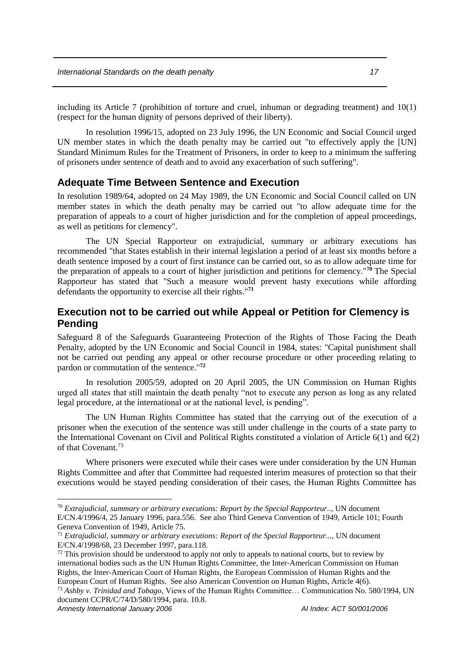including its Article 7 (prohibition of torture and cruel, inhuman or degrading treatment) and 10(1) (respect for the human dignity of persons deprived of their liberty).

In resolution 1996/15, adopted on 23 July 1996, the UN Economic and Social Council urged UN member states in which the death penalty may be carried out "to effectively apply the [UN] Standard Minimum Rules for the Treatment of Prisoners, in order to keep to a minimum the suffering of prisoners under sentence of death and to avoid any exacerbation of such suffering".

### <span id="page-16-0"></span>**Adequate Time Between Sentence and Execution**

In resolution 1989/64, adopted on 24 May 1989, the UN Economic and Social Council called on UN member states in which the death penalty may be carried out "to allow adequate time for the preparation of appeals to a court of higher jurisdiction and for the completion of appeal proceedings, as well as petitions for clemency".

The UN Special Rapporteur on extrajudicial, summary or arbitrary executions has recommended "that States establish in their internal legislation a period of at least six months before a death sentence imposed by a court of first instance can be carried out, so as to allow adequate time for the preparation of appeals to a court of higher jurisdiction and petitions for clemency."**<sup>70</sup>** The Special Rapporteur has stated that "Such a measure would prevent hasty executions while affording defendants the opportunity to exercise all their rights."**<sup>71</sup>**

## <span id="page-16-1"></span>**Execution not to be carried out while Appeal or Petition for Clemency is Pending**

Safeguard 8 of the Safeguards Guaranteeing Protection of the Rights of Those Facing the Death Penalty, adopted by the UN Economic and Social Council in 1984, states: "Capital punishment shall not be carried out pending any appeal or other recourse procedure or other proceeding relating to pardon or commutation of the sentence."**<sup>72</sup>**

In resolution 2005/59, adopted on 20 April 2005, the UN Commission on Human Rights urged all states that still maintain the death penalty "not to execute any person as long as any related legal procedure, at the international or at the national level, is pending".

The UN Human Rights Committee has stated that the carrying out of the execution of a prisoner when the execution of the sentence was still under challenge in the courts of a state party to the International Covenant on Civil and Political Rights constituted a violation of Article 6(1) and 6(2) of that Covenant. 73

Where prisoners were executed while their cases were under consideration by the UN Human Rights Committee and after that Committee had requested interim measures of protection so that their executions would be stayed pending consideration of their cases, the Human Rights Committee has

<sup>70</sup> *Extrajudicial, summary or arbitrary executions: Report by the Special Rapporteur..*, UN document E/CN.4/1996/4, 25 January 1996, para.556. See also Third Geneva Convention of 1949, Article 101; Fourth Geneva Convention of 1949, Article 75.

<sup>71</sup> *Extrajudicial, summary or arbitrary executions: Report of the Special Rapporteur...*, UN document E/CN.4/1998/68, 23 December 1997, para.118.

 $72$  This provision should be understood to apply not only to appeals to national courts, but to review by international bodies such as the UN Human Rights Committee, the Inter-American Commission on Human Rights, the Inter-American Court of Human Rights, the European Commission of Human Rights and the European Court of Human Rights. See also American Convention on Human Rights, Article 4(6).

<sup>73</sup> *Ashby v. Trinidad and Tobago*, Views of the Human Rights Committee… Communication No. 580/1994, UN document CCPR/C/74/D/580/1994, para. 10.8.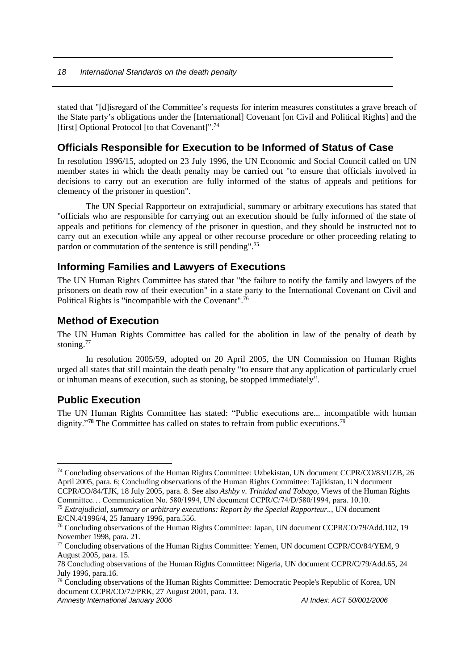stated that "[d]isregard of the Committee's requests for interim measures constitutes a grave breach of the State party's obligations under the [International] Covenant [on Civil and Political Rights] and the [first] Optional Protocol [to that Covenant]".<sup>74</sup>

## <span id="page-17-0"></span>**Officials Responsible for Execution to be Informed of Status of Case**

In resolution 1996/15, adopted on 23 July 1996, the UN Economic and Social Council called on UN member states in which the death penalty may be carried out "to ensure that officials involved in decisions to carry out an execution are fully informed of the status of appeals and petitions for clemency of the prisoner in question".

The UN Special Rapporteur on extrajudicial, summary or arbitrary executions has stated that "officials who are responsible for carrying out an execution should be fully informed of the state of appeals and petitions for clemency of the prisoner in question, and they should be instructed not to carry out an execution while any appeal or other recourse procedure or other proceeding relating to pardon or commutation of the sentence is still pending". **75**

## <span id="page-17-1"></span>**Informing Families and Lawyers of Executions**

The UN Human Rights Committee has stated that "the failure to notify the family and lawyers of the prisoners on death row of their execution" in a state party to the International Covenant on Civil and Political Rights is "incompatible with the Covenant".<sup>76</sup>

## <span id="page-17-2"></span>**Method of Execution**

The UN Human Rights Committee has called for the abolition in law of the penalty of death by stoning.<sup>77</sup>

In resolution 2005/59, adopted on 20 April 2005, the UN Commission on Human Rights urged all states that still maintain the death penalty "to ensure that any application of particularly cruel or inhuman means of execution, such as stoning, be stopped immediately".

## <span id="page-17-3"></span>**Public Execution**

1

The UN Human Rights Committee has stated: "Public executions are... incompatible with human dignity."<sup>78</sup> The Committee has called on states to refrain from public executions.<sup>79</sup>

<sup>74</sup> Concluding observations of the Human Rights Committee: Uzbekistan, UN document CCPR/CO/83/UZB, 26 April 2005, para. 6; Concluding observations of the Human Rights Committee: Tajikistan, UN document CCPR/CO/84/TJK, 18 July 2005, para. 8. See also *Ashby v. Trinidad and Tobago*, Views of the Human Rights

Committee… Communication No. 580/1994, UN document CCPR/C/74/D/580/1994, para. 10.10. <sup>75</sup> *Extrajudicial, summary or arbitrary executions: Report by the Special Rapporteur..*, UN document E/CN.4/1996/4, 25 January 1996, para.556.

<sup>76</sup> Concluding observations of the Human Rights Committee: Japan, UN document CCPR/CO/79/Add.102, 19 November 1998, para. 21.

<sup>77</sup> Concluding observations of the Human Rights Committee: Yemen, UN document CCPR/CO/84/YEM, 9 August 2005, para. 15.

<sup>78</sup> Concluding observations of the Human Rights Committee: Nigeria, UN document CCPR/C/79/Add.65, 24 July 1996, para.16.

*Amnesty International January 2006 AI Index: ACT 50/001/2006* <sup>79</sup> Concluding observations of the Human Rights Committee: Democratic People's Republic of Korea, UN document CCPR/CO/72/PRK, 27 August 2001, para. 13.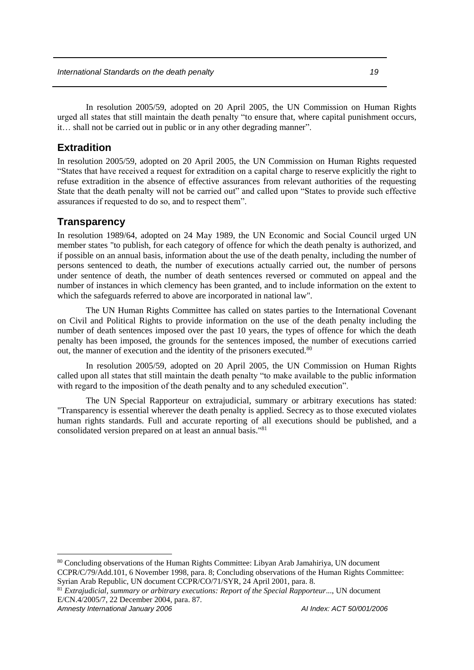In resolution 2005/59, adopted on 20 April 2005, the UN Commission on Human Rights urged all states that still maintain the death penalty "to ensure that, where capital punishment occurs, it… shall not be carried out in public or in any other degrading manner".

## <span id="page-18-0"></span>**Extradition**

In resolution 2005/59, adopted on 20 April 2005, the UN Commission on Human Rights requested "States that have received a request for extradition on a capital charge to reserve explicitly the right to refuse extradition in the absence of effective assurances from relevant authorities of the requesting State that the death penalty will not be carried out" and called upon "States to provide such effective assurances if requested to do so, and to respect them".

## <span id="page-18-1"></span>**Transparency**

In resolution 1989/64, adopted on 24 May 1989, the UN Economic and Social Council urged UN member states "to publish, for each category of offence for which the death penalty is authorized, and if possible on an annual basis, information about the use of the death penalty, including the number of persons sentenced to death, the number of executions actually carried out, the number of persons under sentence of death, the number of death sentences reversed or commuted on appeal and the number of instances in which clemency has been granted, and to include information on the extent to which the safeguards referred to above are incorporated in national law".

The UN Human Rights Committee has called on states parties to the International Covenant on Civil and Political Rights to provide information on the use of the death penalty including the number of death sentences imposed over the past 10 years, the types of offence for which the death penalty has been imposed, the grounds for the sentences imposed, the number of executions carried out, the manner of execution and the identity of the prisoners executed.<sup>80</sup>

In resolution 2005/59, adopted on 20 April 2005, the UN Commission on Human Rights called upon all states that still maintain the death penalty "to make available to the public information with regard to the imposition of the death penalty and to any scheduled execution".

The UN Special Rapporteur on extrajudicial, summary or arbitrary executions has stated: "Transparency is essential wherever the death penalty is applied. Secrecy as to those executed violates human rights standards. Full and accurate reporting of all executions should be published, and a consolidated version prepared on at least an annual basis."<sup>81</sup>

<sup>80</sup> Concluding observations of the Human Rights Committee: Libyan Arab Jamahiriya, UN document CCPR/C/79/Add.101, 6 November 1998, para. 8; Concluding observations of the Human Rights Committee: Syrian Arab Republic, UN document CCPR/CO/71/SYR, 24 April 2001, para. 8.

*Amnesty International January 2006 AI Index: ACT 50/001/2006* <sup>81</sup> *Extrajudicial, summary or arbitrary executions: Report of the Special Rapporteur*..., UN document E/CN.4/2005/7, 22 December 2004, para. 87.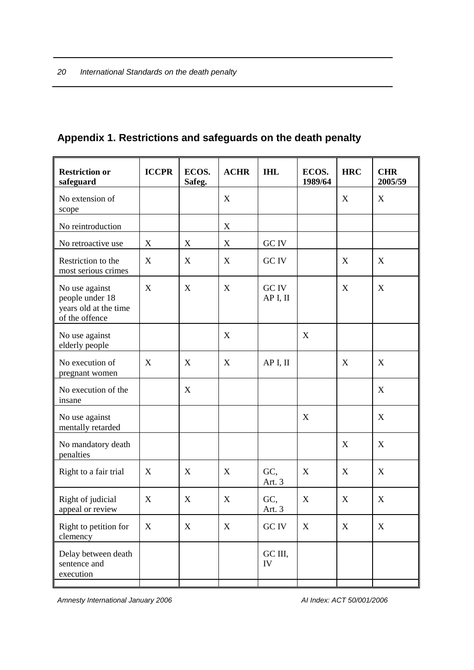# <span id="page-19-0"></span>**Appendix 1. Restrictions and safeguards on the death penalty**

| <b>Restriction or</b><br>safeguard                                           | <b>ICCPR</b> | ECOS.<br>Safeg.           | <b>ACHR</b>               | <b>IHL</b>               | ECOS.<br>1989/64          | <b>HRC</b>  | <b>CHR</b><br>2005/59 |
|------------------------------------------------------------------------------|--------------|---------------------------|---------------------------|--------------------------|---------------------------|-------------|-----------------------|
| No extension of<br>scope                                                     |              |                           | X                         |                          |                           | X           | X                     |
| No reintroduction                                                            |              |                           | $\mathbf X$               |                          |                           |             |                       |
| No retroactive use                                                           | $\mathbf X$  | X                         | $\mathbf X$               | <b>GC IV</b>             |                           |             |                       |
| Restriction to the<br>most serious crimes                                    | X            | $\mathbf X$               | $\mathbf X$               | <b>GC IV</b>             |                           | $\mathbf X$ | X                     |
| No use against<br>people under 18<br>years old at the time<br>of the offence | X            | X                         | X                         | <b>GC IV</b><br>AP I, II |                           | X           | X                     |
| No use against<br>elderly people                                             |              |                           | X                         |                          | X                         |             |                       |
| No execution of<br>pregnant women                                            | X            | $\boldsymbol{\mathrm{X}}$ | $\boldsymbol{\mathrm{X}}$ | AP I, II                 |                           | X           | X                     |
| No execution of the<br>insane                                                |              | $\mathbf X$               |                           |                          |                           |             | X                     |
| No use against<br>mentally retarded                                          |              |                           |                           |                          | X                         |             | X                     |
| No mandatory death<br>penalties                                              |              |                           |                           |                          |                           | X           | X                     |
| Right to a fair trial                                                        | X            | $\mathbf X$               | $\mathbf X$               | GC,<br>Art. 3            | $\boldsymbol{\mathrm{X}}$ | X           | X                     |
| Right of judicial<br>appeal or review                                        | X            | X                         | $\boldsymbol{\mathrm{X}}$ | GC,<br>Art. 3            | X                         | X           | X                     |
| Right to petition for<br>clemency                                            | X            | $\mathbf X$               | $\mathbf X$               | GC IV                    | X                         | X           | X                     |
| Delay between death<br>sentence and<br>execution                             |              |                           |                           | GC III,<br>IV            |                           |             |                       |

*Amnesty International January 2006 AI Index: ACT 50/001/2006*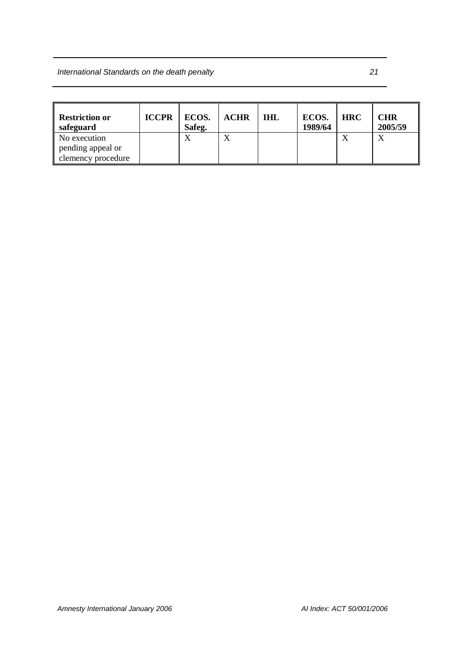| <b>Restriction or</b><br>safeguard | <b>ICCPR</b> | ECOS.<br>Safeg. | <b>ACHR</b> | <b>IHL</b> | ECOS.<br>1989/64 | <b>HRC</b> | <b>CHR</b><br>2005/59 |
|------------------------------------|--------------|-----------------|-------------|------------|------------------|------------|-----------------------|
| No execution                       |              | v               | X           |            |                  |            | △                     |
| pending appeal or                  |              |                 |             |            |                  |            |                       |
| clemency procedure                 |              |                 |             |            |                  |            |                       |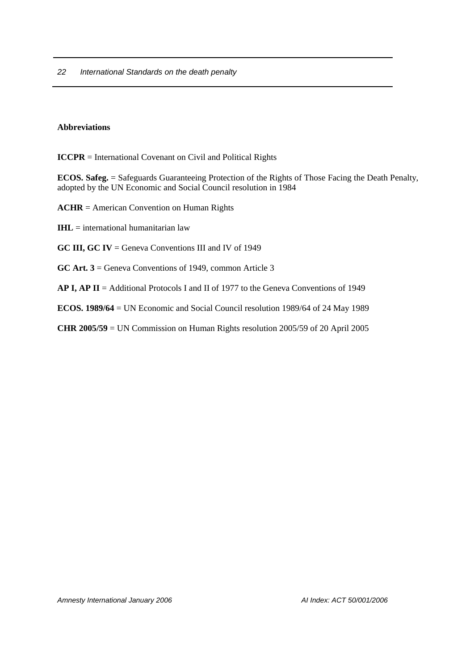#### **Abbreviations**

**ICCPR** = International Covenant on Civil and Political Rights

**ECOS. Safeg.** = Safeguards Guaranteeing Protection of the Rights of Those Facing the Death Penalty, adopted by the UN Economic and Social Council resolution in 1984

**ACHR** = American Convention on Human Rights

**IHL** = international humanitarian law

#### **GC III, GC IV** = Geneva Conventions III and IV of 1949

**GC Art. 3** = Geneva Conventions of 1949, common Article 3

**AP I, AP II** = Additional Protocols I and II of 1977 to the Geneva Conventions of 1949

**ECOS. 1989/64** = UN Economic and Social Council resolution 1989/64 of 24 May 1989

**CHR 2005/59** = UN Commission on Human Rights resolution 2005/59 of 20 April 2005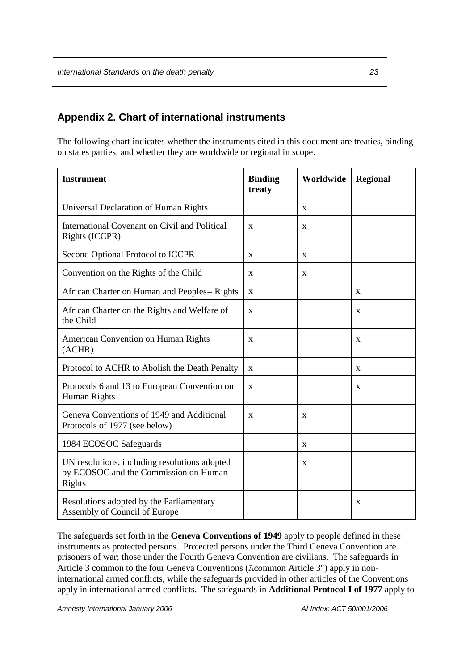## <span id="page-22-0"></span>**Appendix 2. Chart of international instruments**

The following chart indicates whether the instruments cited in this document are treaties, binding on states parties, and whether they are worldwide or regional in scope.

| <b>Instrument</b>                                                                                | <b>Binding</b><br>treaty | Worldwide | <b>Regional</b> |
|--------------------------------------------------------------------------------------------------|--------------------------|-----------|-----------------|
| <b>Universal Declaration of Human Rights</b>                                                     |                          | X         |                 |
| International Covenant on Civil and Political<br>Rights (ICCPR)                                  | X                        | X         |                 |
| Second Optional Protocol to ICCPR                                                                | X                        | X         |                 |
| Convention on the Rights of the Child                                                            | X                        | X         |                 |
| African Charter on Human and Peoples = Rights                                                    | X                        |           | X               |
| African Charter on the Rights and Welfare of<br>the Child                                        | $\mathbf{x}$             |           | X               |
| American Convention on Human Rights<br>(ACHR)                                                    | X                        |           | X               |
| Protocol to ACHR to Abolish the Death Penalty                                                    | X                        |           | X               |
| Protocols 6 and 13 to European Convention on<br>Human Rights                                     | X                        |           | X               |
| Geneva Conventions of 1949 and Additional<br>Protocols of 1977 (see below)                       | X                        | X         |                 |
| 1984 ECOSOC Safeguards                                                                           |                          | X         |                 |
| UN resolutions, including resolutions adopted<br>by ECOSOC and the Commission on Human<br>Rights |                          | X         |                 |
| Resolutions adopted by the Parliamentary<br>Assembly of Council of Europe                        |                          |           | X               |

The safeguards set forth in the **Geneva Conventions of 1949** apply to people defined in these instruments as protected persons. Protected persons under the Third Geneva Convention are prisoners of war; those under the Fourth Geneva Convention are civilians. The safeguards in Article 3 common to the four Geneva Conventions (Acommon Article 3") apply in noninternational armed conflicts, while the safeguards provided in other articles of the Conventions apply in international armed conflicts. The safeguards in **Additional Protocol I of 1977** apply to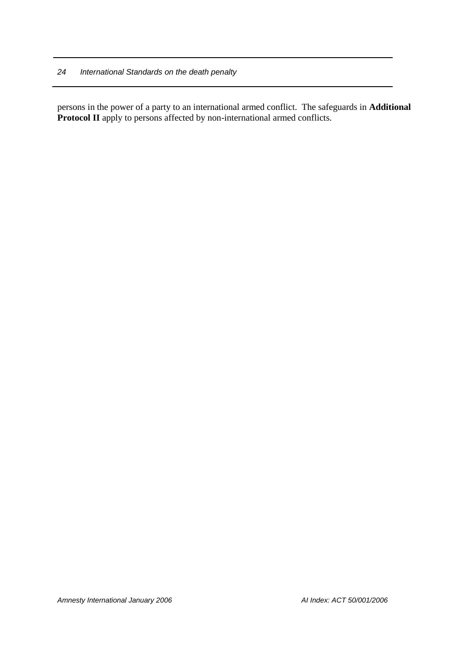persons in the power of a party to an international armed conflict. The safeguards in **Additional**  Protocol II apply to persons affected by non-international armed conflicts.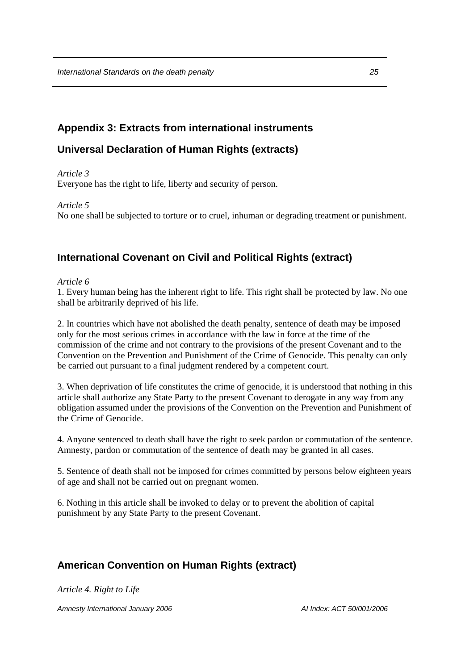## <span id="page-24-0"></span>**Appendix 3: Extracts from international instruments**

## <span id="page-24-1"></span>**Universal Declaration of Human Rights (extracts)**

*Article 3*

Everyone has the right to life, liberty and security of person.

*Article 5*

No one shall be subjected to torture or to cruel, inhuman or degrading treatment or punishment.

## <span id="page-24-2"></span>**International Covenant on Civil and Political Rights (extract)**

*Article 6*

1. Every human being has the inherent right to life. This right shall be protected by law. No one shall be arbitrarily deprived of his life.

2. In countries which have not abolished the death penalty, sentence of death may be imposed only for the most serious crimes in accordance with the law in force at the time of the commission of the crime and not contrary to the provisions of the present Covenant and to the Convention on the Prevention and Punishment of the Crime of Genocide. This penalty can only be carried out pursuant to a final judgment rendered by a competent court.

3. When deprivation of life constitutes the crime of genocide, it is understood that nothing in this article shall authorize any State Party to the present Covenant to derogate in any way from any obligation assumed under the provisions of the Convention on the Prevention and Punishment of the Crime of Genocide.

4. Anyone sentenced to death shall have the right to seek pardon or commutation of the sentence. Amnesty, pardon or commutation of the sentence of death may be granted in all cases.

5. Sentence of death shall not be imposed for crimes committed by persons below eighteen years of age and shall not be carried out on pregnant women.

6. Nothing in this article shall be invoked to delay or to prevent the abolition of capital punishment by any State Party to the present Covenant.

## <span id="page-24-3"></span>**American Convention on Human Rights (extract)**

*Article 4. Right to Life*

*Amnesty International January 2006 AI Index: ACT 50/001/2006*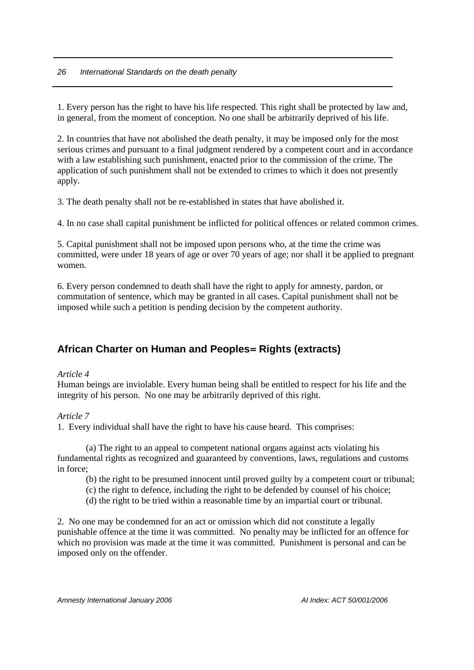1. Every person has the right to have his life respected. This right shall be protected by law and, in general, from the moment of conception. No one shall be arbitrarily deprived of his life.

2. In countries that have not abolished the death penalty, it may be imposed only for the most serious crimes and pursuant to a final judgment rendered by a competent court and in accordance with a law establishing such punishment, enacted prior to the commission of the crime. The application of such punishment shall not be extended to crimes to which it does not presently apply.

3. The death penalty shall not be re-established in states that have abolished it.

4. In no case shall capital punishment be inflicted for political offences or related common crimes.

5. Capital punishment shall not be imposed upon persons who, at the time the crime was committed, were under 18 years of age or over 70 years of age; nor shall it be applied to pregnant women.

6. Every person condemned to death shall have the right to apply for amnesty, pardon, or commutation of sentence, which may be granted in all cases. Capital punishment shall not be imposed while such a petition is pending decision by the competent authority.

## <span id="page-25-0"></span>**African Charter on Human and Peoples= Rights (extracts)**

#### *Article 4*

Human beings are inviolable. Every human being shall be entitled to respect for his life and the integrity of his person. No one may be arbitrarily deprived of this right.

### *Article 7*

1. Every individual shall have the right to have his cause heard. This comprises:

(a) The right to an appeal to competent national organs against acts violating his fundamental rights as recognized and guaranteed by conventions, laws, regulations and customs in force;

- (b) the right to be presumed innocent until proved guilty by a competent court or tribunal;
- (c) the right to defence, including the right to be defended by counsel of his choice;
- (d) the right to be tried within a reasonable time by an impartial court or tribunal.

2. No one may be condemned for an act or omission which did not constitute a legally punishable offence at the time it was committed. No penalty may be inflicted for an offence for which no provision was made at the time it was committed. Punishment is personal and can be imposed only on the offender.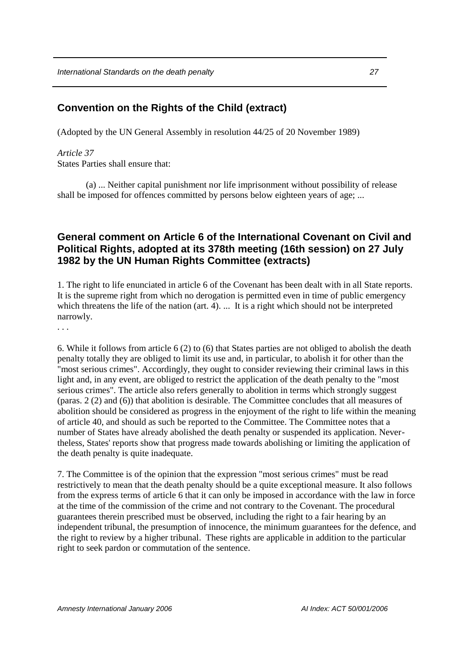## <span id="page-26-0"></span>**Convention on the Rights of the Child (extract)**

(Adopted by the UN General Assembly in resolution 44/25 of 20 November 1989)

*Article 37* States Parties shall ensure that:

(a) ... Neither capital punishment nor life imprisonment without possibility of release shall be imposed for offences committed by persons below eighteen years of age; ...

## <span id="page-26-1"></span>**General comment on Article 6 of the International Covenant on Civil and Political Rights, adopted at its 378th meeting (16th session) on 27 July 1982 by the UN Human Rights Committee (extracts)**

1. The right to life enunciated in article 6 of the Covenant has been dealt with in all State reports. It is the supreme right from which no derogation is permitted even in time of public emergency which threatens the life of the nation (art. 4). ... It is a right which should not be interpreted narrowly.

. . .

6. While it follows from article 6 (2) to (6) that States parties are not obliged to abolish the death penalty totally they are obliged to limit its use and, in particular, to abolish it for other than the "most serious crimes". Accordingly, they ought to consider reviewing their criminal laws in this light and, in any event, are obliged to restrict the application of the death penalty to the "most serious crimes". The article also refers generally to abolition in terms which strongly suggest (paras. 2 (2) and (6)) that abolition is desirable. The Committee concludes that all measures of abolition should be considered as progress in the enjoyment of the right to life within the meaning of article 40, and should as such be reported to the Committee. The Committee notes that a number of States have already abolished the death penalty or suspended its application. Nevertheless, States' reports show that progress made towards abolishing or limiting the application of the death penalty is quite inadequate.

7. The Committee is of the opinion that the expression "most serious crimes" must be read restrictively to mean that the death penalty should be a quite exceptional measure. It also follows from the express terms of article 6 that it can only be imposed in accordance with the law in force at the time of the commission of the crime and not contrary to the Covenant. The procedural guarantees therein prescribed must be observed, including the right to a fair hearing by an independent tribunal, the presumption of innocence, the minimum guarantees for the defence, and the right to review by a higher tribunal. These rights are applicable in addition to the particular right to seek pardon or commutation of the sentence.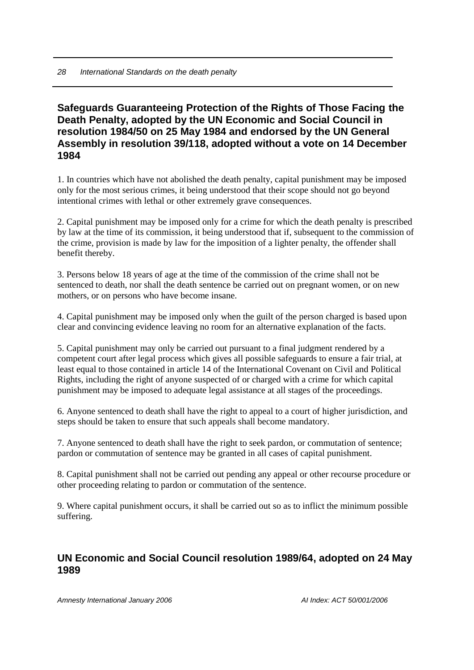## <span id="page-27-0"></span>**Safeguards Guaranteeing Protection of the Rights of Those Facing the Death Penalty, adopted by the UN Economic and Social Council in resolution 1984/50 on 25 May 1984 and endorsed by the UN General Assembly in resolution 39/118, adopted without a vote on 14 December 1984**

1. In countries which have not abolished the death penalty, capital punishment may be imposed only for the most serious crimes, it being understood that their scope should not go beyond intentional crimes with lethal or other extremely grave consequences.

2. Capital punishment may be imposed only for a crime for which the death penalty is prescribed by law at the time of its commission, it being understood that if, subsequent to the commission of the crime, provision is made by law for the imposition of a lighter penalty, the offender shall benefit thereby.

3. Persons below 18 years of age at the time of the commission of the crime shall not be sentenced to death, nor shall the death sentence be carried out on pregnant women, or on new mothers, or on persons who have become insane.

4. Capital punishment may be imposed only when the guilt of the person charged is based upon clear and convincing evidence leaving no room for an alternative explanation of the facts.

5. Capital punishment may only be carried out pursuant to a final judgment rendered by a competent court after legal process which gives all possible safeguards to ensure a fair trial, at least equal to those contained in article 14 of the International Covenant on Civil and Political Rights, including the right of anyone suspected of or charged with a crime for which capital punishment may be imposed to adequate legal assistance at all stages of the proceedings.

6. Anyone sentenced to death shall have the right to appeal to a court of higher jurisdiction, and steps should be taken to ensure that such appeals shall become mandatory.

7. Anyone sentenced to death shall have the right to seek pardon, or commutation of sentence; pardon or commutation of sentence may be granted in all cases of capital punishment.

8. Capital punishment shall not be carried out pending any appeal or other recourse procedure or other proceeding relating to pardon or commutation of the sentence.

9. Where capital punishment occurs, it shall be carried out so as to inflict the minimum possible suffering.

## <span id="page-27-1"></span>**UN Economic and Social Council resolution 1989/64, adopted on 24 May 1989**

*Amnesty International January 2006 AI Index: ACT 50/001/2006*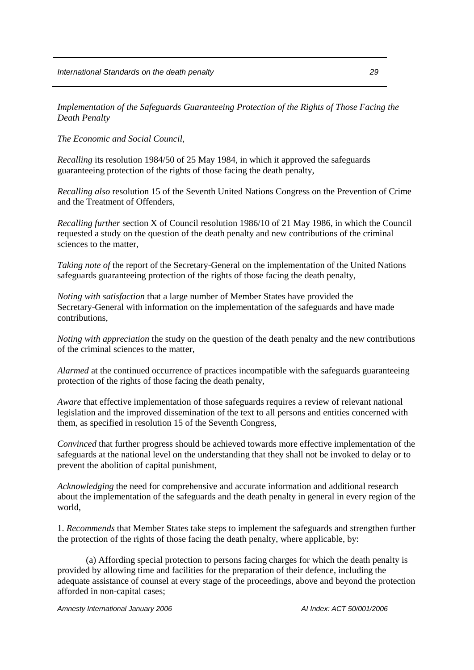*Implementation of the Safeguards Guaranteeing Protection of the Rights of Those Facing the Death Penalty*

*The Economic and Social Council,*

*Recalling* its resolution 1984/50 of 25 May 1984, in which it approved the safeguards guaranteeing protection of the rights of those facing the death penalty,

*Recalling also* resolution 15 of the Seventh United Nations Congress on the Prevention of Crime and the Treatment of Offenders,

*Recalling further* section X of Council resolution 1986/10 of 21 May 1986, in which the Council requested a study on the question of the death penalty and new contributions of the criminal sciences to the matter,

*Taking note of* the report of the Secretary-General on the implementation of the United Nations safeguards guaranteeing protection of the rights of those facing the death penalty,

*Noting with satisfaction* that a large number of Member States have provided the Secretary-General with information on the implementation of the safeguards and have made contributions,

*Noting with appreciation* the study on the question of the death penalty and the new contributions of the criminal sciences to the matter,

*Alarmed* at the continued occurrence of practices incompatible with the safeguards guaranteeing protection of the rights of those facing the death penalty,

*Aware* that effective implementation of those safeguards requires a review of relevant national legislation and the improved dissemination of the text to all persons and entities concerned with them, as specified in resolution 15 of the Seventh Congress,

*Convinced* that further progress should be achieved towards more effective implementation of the safeguards at the national level on the understanding that they shall not be invoked to delay or to prevent the abolition of capital punishment,

*Acknowledging* the need for comprehensive and accurate information and additional research about the implementation of the safeguards and the death penalty in general in every region of the world,

1. *Recommends* that Member States take steps to implement the safeguards and strengthen further the protection of the rights of those facing the death penalty, where applicable, by:

(a) Affording special protection to persons facing charges for which the death penalty is provided by allowing time and facilities for the preparation of their defence, including the adequate assistance of counsel at every stage of the proceedings, above and beyond the protection afforded in non-capital cases;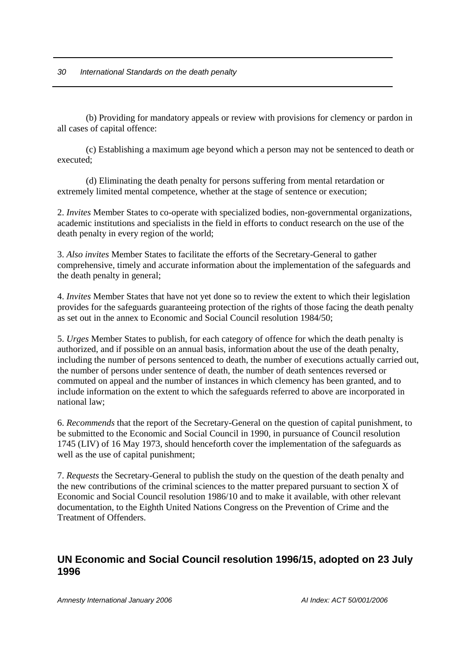(b) Providing for mandatory appeals or review with provisions for clemency or pardon in all cases of capital offence:

(c) Establishing a maximum age beyond which a person may not be sentenced to death or executed;

(d) Eliminating the death penalty for persons suffering from mental retardation or extremely limited mental competence, whether at the stage of sentence or execution;

2. *Invites* Member States to co-operate with specialized bodies, non-governmental organizations, academic institutions and specialists in the field in efforts to conduct research on the use of the death penalty in every region of the world;

3. *Also invites* Member States to facilitate the efforts of the Secretary-General to gather comprehensive, timely and accurate information about the implementation of the safeguards and the death penalty in general;

4. *Invites* Member States that have not yet done so to review the extent to which their legislation provides for the safeguards guaranteeing protection of the rights of those facing the death penalty as set out in the annex to Economic and Social Council resolution 1984/50;

5. *Urges* Member States to publish, for each category of offence for which the death penalty is authorized, and if possible on an annual basis, information about the use of the death penalty, including the number of persons sentenced to death, the number of executions actually carried out, the number of persons under sentence of death, the number of death sentences reversed or commuted on appeal and the number of instances in which clemency has been granted, and to include information on the extent to which the safeguards referred to above are incorporated in national law;

6. *Recommends* that the report of the Secretary-General on the question of capital punishment, to be submitted to the Economic and Social Council in 1990, in pursuance of Council resolution 1745 (LIV) of 16 May 1973, should henceforth cover the implementation of the safeguards as well as the use of capital punishment;

7. *Requests* the Secretary-General to publish the study on the question of the death penalty and the new contributions of the criminal sciences to the matter prepared pursuant to section X of Economic and Social Council resolution 1986/10 and to make it available, with other relevant documentation, to the Eighth United Nations Congress on the Prevention of Crime and the Treatment of Offenders.

## <span id="page-29-0"></span>**UN Economic and Social Council resolution 1996/15, adopted on 23 July 1996**

*Amnesty International January 2006 AI Index: ACT 50/001/2006*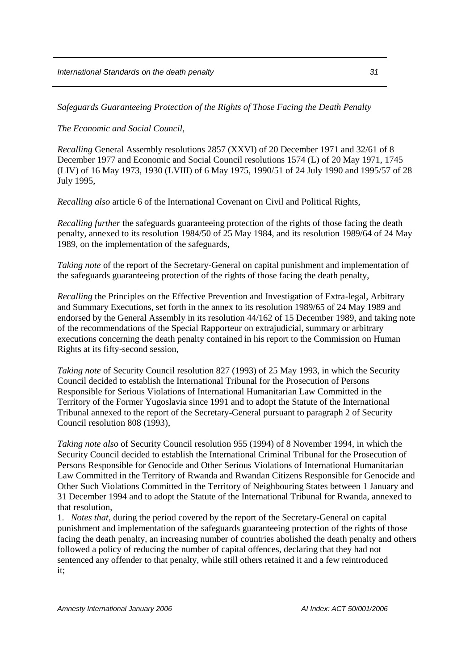*Safeguards Guaranteeing Protection of the Rights of Those Facing the Death Penalty*

*The Economic and Social Council,*

*Recalling* General Assembly resolutions 2857 (XXVI) of 20 December 1971 and 32/61 of 8 December 1977 and Economic and Social Council resolutions 1574 (L) of 20 May 1971, 1745 (LIV) of 16 May 1973, 1930 (LVIII) of 6 May 1975, 1990/51 of 24 July 1990 and 1995/57 of 28 July 1995,

*Recalling also* article 6 of the International Covenant on Civil and Political Rights,

*Recalling further* the safeguards guaranteeing protection of the rights of those facing the death penalty, annexed to its resolution 1984/50 of 25 May 1984, and its resolution 1989/64 of 24 May 1989, on the implementation of the safeguards,

*Taking note* of the report of the Secretary-General on capital punishment and implementation of the safeguards guaranteeing protection of the rights of those facing the death penalty,

*Recalling* the Principles on the Effective Prevention and Investigation of Extra-legal, Arbitrary and Summary Executions, set forth in the annex to its resolution 1989/65 of 24 May 1989 and endorsed by the General Assembly in its resolution 44/162 of 15 December 1989, and taking note of the recommendations of the Special Rapporteur on extrajudicial, summary or arbitrary executions concerning the death penalty contained in his report to the Commission on Human Rights at its fifty-second session,

*Taking note* of Security Council resolution 827 (1993) of 25 May 1993, in which the Security Council decided to establish the International Tribunal for the Prosecution of Persons Responsible for Serious Violations of International Humanitarian Law Committed in the Territory of the Former Yugoslavia since 1991 and to adopt the Statute of the International Tribunal annexed to the report of the Secretary-General pursuant to paragraph 2 of Security Council resolution 808 (1993),

*Taking note also* of Security Council resolution 955 (1994) of 8 November 1994, in which the Security Council decided to establish the International Criminal Tribunal for the Prosecution of Persons Responsible for Genocide and Other Serious Violations of International Humanitarian Law Committed in the Territory of Rwanda and Rwandan Citizens Responsible for Genocide and Other Such Violations Committed in the Territory of Neighbouring States between 1 January and 31 December 1994 and to adopt the Statute of the International Tribunal for Rwanda, annexed to that resolution,

1. *Notes that*, during the period covered by the report of the Secretary-General on capital punishment and implementation of the safeguards guaranteeing protection of the rights of those facing the death penalty, an increasing number of countries abolished the death penalty and others followed a policy of reducing the number of capital offences, declaring that they had not sentenced any offender to that penalty, while still others retained it and a few reintroduced it;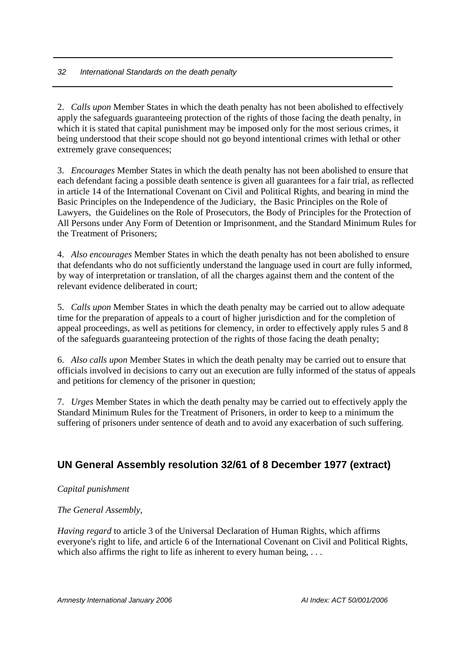2. *Calls upon* Member States in which the death penalty has not been abolished to effectively apply the safeguards guaranteeing protection of the rights of those facing the death penalty, in which it is stated that capital punishment may be imposed only for the most serious crimes, it being understood that their scope should not go beyond intentional crimes with lethal or other extremely grave consequences;

3. *Encourages* Member States in which the death penalty has not been abolished to ensure that each defendant facing a possible death sentence is given all guarantees for a fair trial, as reflected in article 14 of the International Covenant on Civil and Political Rights, and bearing in mind the Basic Principles on the Independence of the Judiciary, the Basic Principles on the Role of Lawyers, the Guidelines on the Role of Prosecutors, the Body of Principles for the Protection of All Persons under Any Form of Detention or Imprisonment, and the Standard Minimum Rules for the Treatment of Prisoners;

4. *Also encourages* Member States in which the death penalty has not been abolished to ensure that defendants who do not sufficiently understand the language used in court are fully informed, by way of interpretation or translation, of all the charges against them and the content of the relevant evidence deliberated in court;

5. *Calls upon* Member States in which the death penalty may be carried out to allow adequate time for the preparation of appeals to a court of higher jurisdiction and for the completion of appeal proceedings, as well as petitions for clemency, in order to effectively apply rules 5 and 8 of the safeguards guaranteeing protection of the rights of those facing the death penalty;

6. *Also calls upon* Member States in which the death penalty may be carried out to ensure that officials involved in decisions to carry out an execution are fully informed of the status of appeals and petitions for clemency of the prisoner in question;

7. *Urges* Member States in which the death penalty may be carried out to effectively apply the Standard Minimum Rules for the Treatment of Prisoners, in order to keep to a minimum the suffering of prisoners under sentence of death and to avoid any exacerbation of such suffering.

## <span id="page-31-0"></span>**UN General Assembly resolution 32/61 of 8 December 1977 (extract)**

## *Capital punishment*

## *The General Assembly,*

*Having regard* to article 3 of the Universal Declaration of Human Rights, which affirms everyone's right to life, and article 6 of the International Covenant on Civil and Political Rights, which also affirms the right to life as inherent to every human being, ...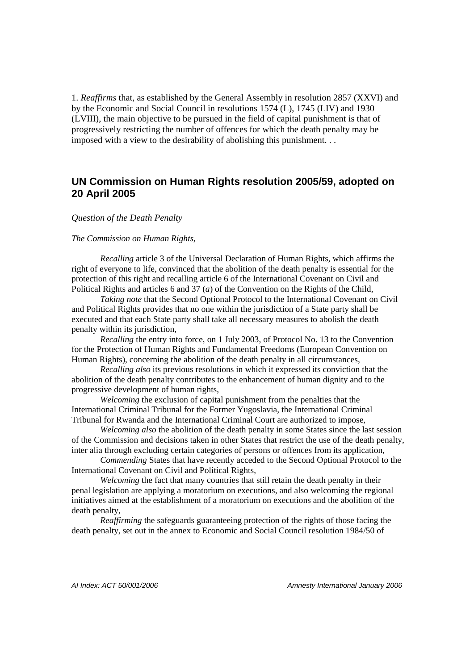1. *Reaffirms* that, as established by the General Assembly in resolution 2857 (XXVI) and by the Economic and Social Council in resolutions 1574 (L), 1745 (LIV) and 1930 (LVIII), the main objective to be pursued in the field of capital punishment is that of progressively restricting the number of offences for which the death penalty may be imposed with a view to the desirability of abolishing this punishment. . .

## <span id="page-32-0"></span>**UN Commission on Human Rights resolution 2005/59, adopted on 20 April 2005**

#### *Question of the Death Penalty*

#### *The Commission on Human Rights,*

*Recalling* article 3 of the Universal Declaration of Human Rights, which affirms the right of everyone to life, convinced that the abolition of the death penalty is essential for the protection of this right and recalling article 6 of the International Covenant on Civil and Political Rights and articles 6 and 37 (*a*) of the Convention on the Rights of the Child,

*Taking note* that the Second Optional Protocol to the International Covenant on Civil and Political Rights provides that no one within the jurisdiction of a State party shall be executed and that each State party shall take all necessary measures to abolish the death penalty within its jurisdiction,

*Recalling* the entry into force, on 1 July 2003, of Protocol No. 13 to the Convention for the Protection of Human Rights and Fundamental Freedoms (European Convention on Human Rights), concerning the abolition of the death penalty in all circumstances,

*Recalling also* its previous resolutions in which it expressed its conviction that the abolition of the death penalty contributes to the enhancement of human dignity and to the progressive development of human rights,

*Welcoming* the exclusion of capital punishment from the penalties that the International Criminal Tribunal for the Former Yugoslavia, the International Criminal Tribunal for Rwanda and the International Criminal Court are authorized to impose,

*Welcoming also* the abolition of the death penalty in some States since the last session of the Commission and decisions taken in other States that restrict the use of the death penalty, inter alia through excluding certain categories of persons or offences from its application,

*Commending* States that have recently acceded to the Second Optional Protocol to the International Covenant on Civil and Political Rights,

*Welcoming* the fact that many countries that still retain the death penalty in their penal legislation are applying a moratorium on executions, and also welcoming the regional initiatives aimed at the establishment of a moratorium on executions and the abolition of the death penalty,

*Reaffirming* the safeguards guaranteeing protection of the rights of those facing the death penalty, set out in the annex to Economic and Social Council resolution 1984/50 of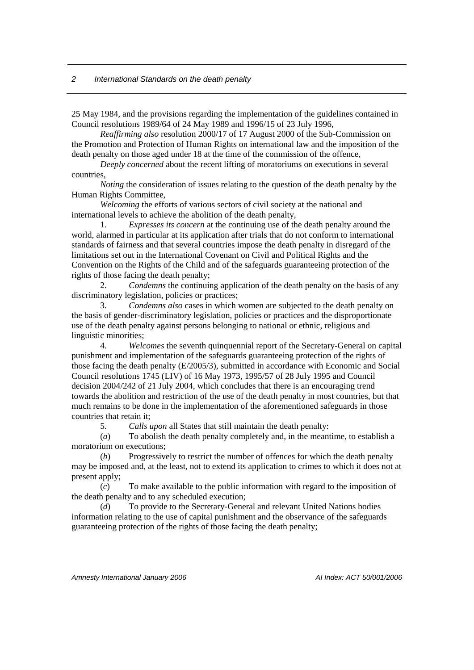25 May 1984, and the provisions regarding the implementation of the guidelines contained in Council resolutions 1989/64 of 24 May 1989 and 1996/15 of 23 July 1996,

*Reaffirming also* resolution 2000/17 of 17 August 2000 of the Sub-Commission on the Promotion and Protection of Human Rights on international law and the imposition of the death penalty on those aged under 18 at the time of the commission of the offence,

*Deeply concerned* about the recent lifting of moratoriums on executions in several countries,

*Noting* the consideration of issues relating to the question of the death penalty by the Human Rights Committee,

*Welcoming* the efforts of various sectors of civil society at the national and international levels to achieve the abolition of the death penalty,

1. *Expresses its concern* at the continuing use of the death penalty around the world, alarmed in particular at its application after trials that do not conform to international standards of fairness and that several countries impose the death penalty in disregard of the limitations set out in the International Covenant on Civil and Political Rights and the Convention on the Rights of the Child and of the safeguards guaranteeing protection of the rights of those facing the death penalty;

2. *Condemns* the continuing application of the death penalty on the basis of any discriminatory legislation, policies or practices;

3. *Condemns also* cases in which women are subjected to the death penalty on the basis of gender-discriminatory legislation, policies or practices and the disproportionate use of the death penalty against persons belonging to national or ethnic, religious and linguistic minorities;

4. *Welcomes* the seventh quinquennial report of the Secretary-General on capital punishment and implementation of the safeguards guaranteeing protection of the rights of those facing the death penalty (E/2005/3), submitted in accordance with Economic and Social Council resolutions 1745 (LIV) of 16 May 1973, 1995/57 of 28 July 1995 and Council decision 2004/242 of 21 July 2004, which concludes that there is an encouraging trend towards the abolition and restriction of the use of the death penalty in most countries, but that much remains to be done in the implementation of the aforementioned safeguards in those countries that retain it;

5. *Calls upon* all States that still maintain the death penalty:

(*a*) To abolish the death penalty completely and, in the meantime, to establish a moratorium on executions;

(*b*) Progressively to restrict the number of offences for which the death penalty may be imposed and, at the least, not to extend its application to crimes to which it does not at present apply;

(*c*) To make available to the public information with regard to the imposition of the death penalty and to any scheduled execution;

(*d*) To provide to the Secretary-General and relevant United Nations bodies information relating to the use of capital punishment and the observance of the safeguards guaranteeing protection of the rights of those facing the death penalty;

*Amnesty International January 2006 AI Index: ACT 50/001/2006*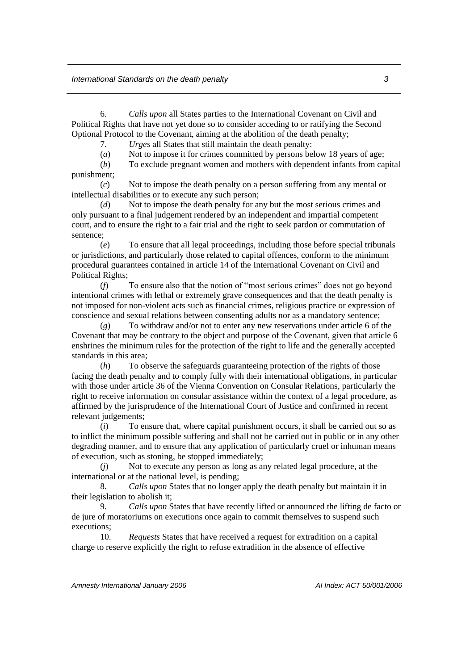6. *Calls upon* all States parties to the International Covenant on Civil and Political Rights that have not yet done so to consider acceding to or ratifying the Second Optional Protocol to the Covenant, aiming at the abolition of the death penalty;

7. *Urges* all States that still maintain the death penalty:

(*a*) Not to impose it for crimes committed by persons below 18 years of age;

(*b*) To exclude pregnant women and mothers with dependent infants from capital punishment;

(*c*) Not to impose the death penalty on a person suffering from any mental or intellectual disabilities or to execute any such person;

(*d*) Not to impose the death penalty for any but the most serious crimes and only pursuant to a final judgement rendered by an independent and impartial competent court, and to ensure the right to a fair trial and the right to seek pardon or commutation of sentence;

(*e*) To ensure that all legal proceedings, including those before special tribunals or jurisdictions, and particularly those related to capital offences, conform to the minimum procedural guarantees contained in article 14 of the International Covenant on Civil and Political Rights;

(*f*) To ensure also that the notion of "most serious crimes" does not go beyond intentional crimes with lethal or extremely grave consequences and that the death penalty is not imposed for non-violent acts such as financial crimes, religious practice or expression of conscience and sexual relations between consenting adults nor as a mandatory sentence;

(*g*) To withdraw and/or not to enter any new reservations under article 6 of the Covenant that may be contrary to the object and purpose of the Covenant, given that article 6 enshrines the minimum rules for the protection of the right to life and the generally accepted standards in this area;

(*h*) To observe the safeguards guaranteeing protection of the rights of those facing the death penalty and to comply fully with their international obligations, in particular with those under article 36 of the Vienna Convention on Consular Relations, particularly the right to receive information on consular assistance within the context of a legal procedure, as affirmed by the jurisprudence of the International Court of Justice and confirmed in recent relevant judgements;

(*i*) To ensure that, where capital punishment occurs, it shall be carried out so as to inflict the minimum possible suffering and shall not be carried out in public or in any other degrading manner, and to ensure that any application of particularly cruel or inhuman means of execution, such as stoning, be stopped immediately;

(*j*) Not to execute any person as long as any related legal procedure, at the international or at the national level, is pending;

8. *Calls upon* States that no longer apply the death penalty but maintain it in their legislation to abolish it;

9. *Calls upon* States that have recently lifted or announced the lifting de facto or de jure of moratoriums on executions once again to commit themselves to suspend such executions;

10. *Requests* States that have received a request for extradition on a capital charge to reserve explicitly the right to refuse extradition in the absence of effective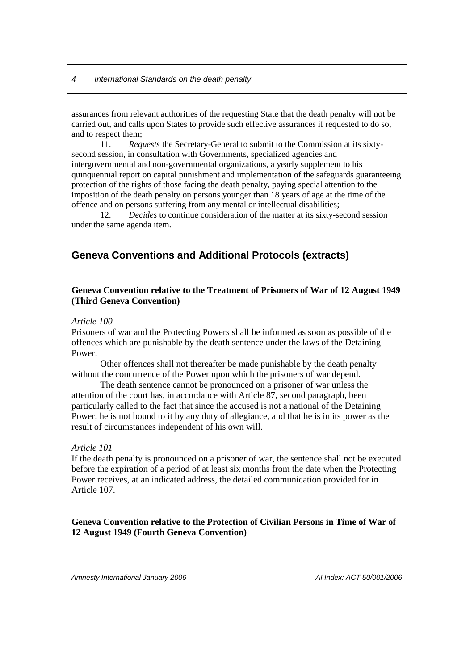assurances from relevant authorities of the requesting State that the death penalty will not be carried out, and calls upon States to provide such effective assurances if requested to do so, and to respect them;

11. *Requests* the Secretary-General to submit to the Commission at its sixtysecond session, in consultation with Governments, specialized agencies and intergovernmental and non-governmental organizations, a yearly supplement to his quinquennial report on capital punishment and implementation of the safeguards guaranteeing protection of the rights of those facing the death penalty, paying special attention to the imposition of the death penalty on persons younger than 18 years of age at the time of the offence and on persons suffering from any mental or intellectual disabilities;

12. *Decides* to continue consideration of the matter at its sixty-second session under the same agenda item.

## <span id="page-35-0"></span>**Geneva Conventions and Additional Protocols (extracts)**

#### **Geneva Convention relative to the Treatment of Prisoners of War of 12 August 1949 (Third Geneva Convention)**

#### *Article 100*

Prisoners of war and the Protecting Powers shall be informed as soon as possible of the offences which are punishable by the death sentence under the laws of the Detaining Power.

Other offences shall not thereafter be made punishable by the death penalty without the concurrence of the Power upon which the prisoners of war depend.

The death sentence cannot be pronounced on a prisoner of war unless the attention of the court has, in accordance with Article 87, second paragraph, been particularly called to the fact that since the accused is not a national of the Detaining Power, he is not bound to it by any duty of allegiance, and that he is in its power as the result of circumstances independent of his own will.

#### *Article 101*

If the death penalty is pronounced on a prisoner of war, the sentence shall not be executed before the expiration of a period of at least six months from the date when the Protecting Power receives, at an indicated address, the detailed communication provided for in Article 107.

**Geneva Convention relative to the Protection of Civilian Persons in Time of War of 12 August 1949 (Fourth Geneva Convention)**

*Amnesty International January 2006 AI Index: ACT 50/001/2006*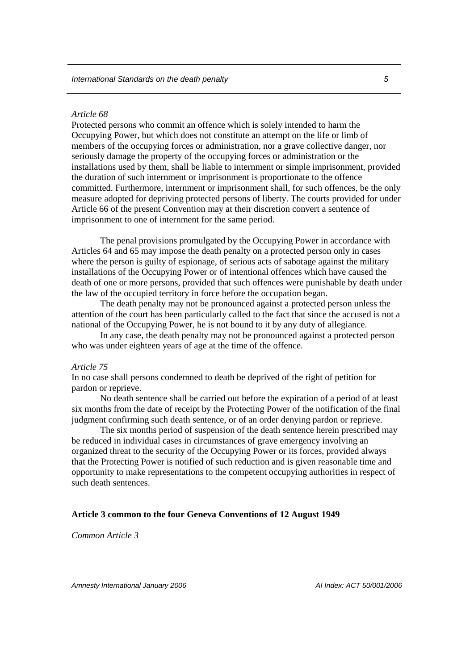#### *Article 68*

Protected persons who commit an offence which is solely intended to harm the Occupying Power, but which does not constitute an attempt on the life or limb of members of the occupying forces or administration, nor a grave collective danger, nor seriously damage the property of the occupying forces or administration or the installations used by them, shall be liable to internment or simple imprisonment, provided the duration of such internment or imprisonment is proportionate to the offence committed. Furthermore, internment or imprisonment shall, for such offences, be the only measure adopted for depriving protected persons of liberty. The courts provided for under Article 66 of the present Convention may at their discretion convert a sentence of imprisonment to one of internment for the same period.

The penal provisions promulgated by the Occupying Power in accordance with Articles 64 and 65 may impose the death penalty on a protected person only in cases where the person is guilty of espionage, of serious acts of sabotage against the military installations of the Occupying Power or of intentional offences which have caused the death of one or more persons, provided that such offences were punishable by death under the law of the occupied territory in force before the occupation began.

The death penalty may not be pronounced against a protected person unless the attention of the court has been particularly called to the fact that since the accused is not a national of the Occupying Power, he is not bound to it by any duty of allegiance.

In any case, the death penalty may not be pronounced against a protected person who was under eighteen years of age at the time of the offence.

#### *Article 75*

In no case shall persons condemned to death be deprived of the right of petition for pardon or reprieve.

No death sentence shall be carried out before the expiration of a period of at least six months from the date of receipt by the Protecting Power of the notification of the final judgment confirming such death sentence, or of an order denying pardon or reprieve.

The six months period of suspension of the death sentence herein prescribed may be reduced in individual cases in circumstances of grave emergency involving an organized threat to the security of the Occupying Power or its forces, provided always that the Protecting Power is notified of such reduction and is given reasonable time and opportunity to make representations to the competent occupying authorities in respect of such death sentences.

#### **Article 3 common to the four Geneva Conventions of 12 August 1949**

*Common Article 3*